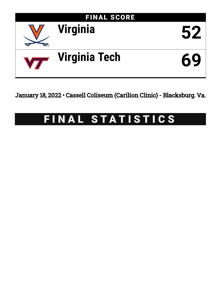

January 18, 2022 • Cassell Coliseum (Carilion Clinic) - Blacksburg. Va.

# FINAL STATISTICS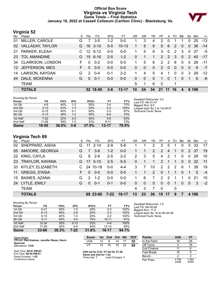### **Official Box Score Virginia vs Virginia Tech Game Totals -- Final Statistics January 18, 2022 at Cassell Coliseum (Carilion Clinic) - Blacksburg. Va.**



### **Virginia 52**

| No. | Player                  | S  | Pts      | FG                | 3FG     | FТ        | 0 <sub>R</sub> | DR       | TR           | PF            | A              | TO       | <b>Blk</b>  | Stl           | Min   | $+/-$ |
|-----|-------------------------|----|----------|-------------------|---------|-----------|----------------|----------|--------------|---------------|----------------|----------|-------------|---------------|-------|-------|
| 01  | MILLER, CAROLE          | G  |          | $3-5$             | $1 - 2$ | $0 - 0$   |                | 3        | 4            | 2             | 0              |          |             | $\mathbf{0}$  | 25    | $-13$ |
| 02  | <b>VALLADAY, TAYLOR</b> | G  | 16.      | $3 - 10$          | $0 - 0$ | $10 - 13$ | 1              | 5        | 6            | 5.            | 6              | 2        | $\Omega$    | $\Omega$      | 36    | $-14$ |
| 21  | PARKER, ELEAH           | C. | 12       | 6-12              | $0 - 0$ | $0-0$     |                | 5        | 6            | 3             | $\mathbf{0}$   | 2        | 3           | $\Omega$      | 27    | -5    |
|     | 23 TOI, AMANDINE        | G. |          | $15 \quad 6 - 16$ | $2 - 5$ | $1 - 2$   | 0              |          | 1            | $\mathcal{P}$ | $\mathcal{P}$  | 3        | $\Omega$    | $\mathcal{P}$ | 40    | $-17$ |
|     | 34 CLARKSON, LONDON     | F. | $\Omega$ | $0 - 2$           | $0 - 0$ | $0-0$     |                | 5        | 6            | $\mathcal{P}$ | $\mathcal{P}$  | 6        | $\mathbf 0$ | $\Omega$      | 28    | $-11$ |
|     | 12 JEFFERSON, MEG       | F. | $\Omega$ | $0 - 0$           | $0 - 0$ | $0 - 0$   | 0              | $\Omega$ | $\mathbf{0}$ | 2             | $\overline{0}$ | $\Omega$ | $\Omega$    | $\Omega$      | 6     | $-7$  |
| 14  | LAWSON, KAYDAN          | G  | 2        | $0 - 4$           | $0 - 1$ | $2 - 2$   |                | 4        | 5            | 4             |                | $\Omega$ | 0           | 3             | 29    | $-12$ |
| 44  | DALE, MCKENNA           | G  | $\Omega$ | $0 - 1$           | $0 - 0$ | $0 - 0$   | 0              | $\Omega$ | $\mathbf{0}$ | 1             | $\Omega$       | 1        | $\Omega$    | 1             | 6     | -6    |
|     | <b>TEAM</b>             |    |          |                   |         |           | 5              | 1        | 6            | $\mathbf 0$   |                | 1        |             |               |       |       |
|     | <b>TOTALS</b>           |    |          | 52 18-50          | $3 - 8$ | $13 - 17$ | 10             | 24       | 34           | 21            | $-11$          | 16       | 4           |               | 6 198 |       |

| <b>Shooting By Period</b> |           |       |         |       |           |       | Deadball Rebounds: 3.0          |
|---------------------------|-----------|-------|---------|-------|-----------|-------|---------------------------------|
| Period                    | FG        | FG%   | 3FG     | 3FG%  | FT        | FT%   | Last FG: 4th-01:47              |
| 1st Qtr                   | 4-9       | 44%   | $1 - 2$ | 50%   | $3-4$     | 75%   | Biggest Run: 8-0                |
| 2nd Qtr                   | $3 - 13$  | 23%   | $1 - 3$ | 33%   | $2 - 2$   | 100%  | Largest lead: By 3 at 1st-09:07 |
| 3rd Qtr                   | $6 - 15$  | 40%   | $0 - 1$ | 00%   | $2 - 3$   | 67%   | Technical Fouls: None.          |
| 4th Qtr                   | $5 - 13$  | 38%   | $1 - 2$ | 50%   | $6 - 8$   | 75%   |                                 |
| 1st Half                  | $7-22$    | 32%   | $2 - 5$ | 40%   | $5-6$     | 83%   |                                 |
| 2nd Half                  | $11 - 28$ | 39%   | $1 - 3$ | 33%   | $8 - 11$  | 73%   |                                 |
| Game                      | 18-50     | 36.0% | $3 - 8$ | 37.5% | $13 - 17$ | 76.5% |                                 |

**Virginia Tech 69**

| No. | Player               | S  | Pts           | FG       | 3FG     | FТ      | 0R            | DR.      | TR       | PF            | A             | TO | <b>B</b> lk | Stl          | Min   | $+/-$ |
|-----|----------------------|----|---------------|----------|---------|---------|---------------|----------|----------|---------------|---------------|----|-------------|--------------|-------|-------|
| 02  | SHEPPARD, AISHA      | G  | 11            | $2 - 14$ | $2 - 9$ | $5-6$   | 1             |          | 2        | 3             | 5             |    |             | 0            | 33    | 17    |
| 05  | AMOORE, GEORGIA      | G  | 7             | $3-9$    | $1 - 2$ | $0 - 0$ |               |          | 2        | 2             | 4             | 1  | $\Omega$    | 2            | -37   | 19    |
| 22  | KING, CAYLA          | G  | 8             | $2 - 6$  | $2 - 5$ | $2 - 2$ | $\mathcal{P}$ | 3        | 5        | 4             | 2             | 1  | $\Omega$    | $\Omega$     | 29    | 10    |
|     | 23 TRAYLOR, KAYANA   | G. | 17            | $5 - 10$ | $2 - 5$ | $5 - 5$ | 0             |          |          | $\mathcal{P}$ | 1             |    | $\Omega$    | $\mathbf{0}$ | -32   | 11    |
|     | 33 KITLEY, ELIZABETH |    | 24            | $10-18$  | $0 - 0$ | 4-4     | 3             | 7        | 10       | 2             | $\mathcal{P}$ | 2  | 6           | 1            | 38    | 19    |
| 11  | <b>GREGG, D'ASIA</b> | F. | $\Omega$      | $0 - 0$  | $0-0$   | $0 - 0$ |               |          | 2        | $\Omega$      | 1             |    | $\Omega$    | 1            | 5     | $-4$  |
| 15  | <b>BAINES, AZANA</b> | G  | $\mathcal{P}$ | $1 - 2$  | $0 - 0$ | $0 - 0$ | 1.            | 6        | 7        | $\mathcal{P}$ | $\mathcal{P}$ | 1  |             | $\Omega$     | 21    | 15    |
| 24  | LYTLE, EMILY         | G  | $\Omega$      | $0 - 1$  | $0 - 1$ | $0 - 0$ | 0             | $\Omega$ | $\Omega$ | $\Omega$      | $\Omega$      | 1  | $\Omega$    | $\Omega$     | 3     | $-2$  |
|     | <b>TEAM</b>          |    |               |          |         |         | 4             | 3        |          | $\Omega$      |               | 0  |             |              |       |       |
|     | <b>TOTALS</b>        |    | 69.           | 23-60    | $7-22$  | 16-17   | 13            | 23       | 36       | 15.           |               | 9  |             |              | 4 198 |       |

*Shooting By Period*

| Period   | FG        | FG%   | 3FG      | 3FG%       | FT        | FT%   |
|----------|-----------|-------|----------|------------|-----------|-------|
| 1st Qtr  | $6 - 21$  | 29%   | 1-5      | 20%        | $2 - 2$   | 100%  |
| 2nd Qtr  | $6 - 13$  | 46%   | $2 - 8$  | 25%        | $2 - 2$   | 100%  |
| 3rd Qtr  | $6 - 15$  | 40%   | 1-5      | <b>20%</b> | $2-2$     | 100%  |
| 4th Qtr  | $5 - 11$  | 45%   | $3 - 4$  | 75%        | $10 - 11$ | 91%   |
| 1st Half | $12 - 34$ | 35%   | $3 - 13$ | 23%        | $4 - 4$   | 100%  |
| 2nd Half | $11 - 26$ | 42%   | $4-9$    | 44%        | $12 - 13$ | 92%   |
| Game     | $23 - 60$ | 38.3% | 7-22     | 31.8%      | 16-17     | 94.1% |

*Deadball Rebounds:* 1,0 *Last FG:* 4th-00:48 *Biggest Run:* 11-0 *Largest lead:* By 18 at 4th-00:38 *Technical Fouls:* None.

| Game Notes:      |                                               |  |
|------------------|-----------------------------------------------|--|
|                  | Officials: Dee Kantner. Jennifer Rezac. Kevin |  |
| Sparrock         |                                               |  |
| Attendance: 1518 |                                               |  |

Start Time: **05:01 PM ET** End Time: **06:54 PM ET** Game Duration: **1:52** Conference Game;

| Score |    | 1st 2nd 3rd 4th |    |     | <b>TOT</b> |
|-------|----|-----------------|----|-----|------------|
| UVA   | 12 | 9.              | 14 | 17. | 52         |
| VT.   | 15 | 16.             | 15 | 23  | 69         |

| UVA led for 0:23. VT led for 37:26.<br>Game was tied for 1:42. |                 |
|----------------------------------------------------------------|-----------------|
| Times tied: 1                                                  | Lead Changes: 1 |

| <b>Points</b>     | <b>UVA</b>     |                |
|-------------------|----------------|----------------|
| In the Paint      | 16             | 26             |
| Off Turns         |                | 16             |
| 2nd Chance        | 11             | 6              |
| <b>Fast Break</b> | 10             | g              |
| Bench             | 2              | 2              |
| Per Poss          | 0.788<br>24/66 | 1.062<br>30/65 |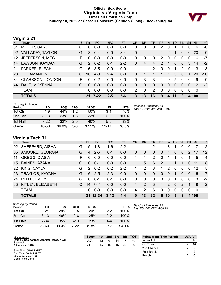### **Official Box Score Virginia vs Virginia Tech First Half Statistics Only January 18, 2022 at Cassell Coliseum (Carilion Clinic) - Blacksburg. Va.**



# **Virginia 21**

| No. | Player                  | S. | Pts      | <b>FG</b> | 3FG     | <b>FT</b> | <b>OR</b> | DR          | TR       | <b>PF</b>     | $\mathsf{A}$ | TO       | <b>Blk</b>     | Stl      | <b>Min</b>    | $+/-$ |
|-----|-------------------------|----|----------|-----------|---------|-----------|-----------|-------------|----------|---------------|--------------|----------|----------------|----------|---------------|-------|
| 01  | MILLER, CAROLE          | G  | $\Omega$ | $0 - 0$   | $0 - 0$ | $0 - 0$   | 0         | $\Omega$    | 0        | 2             | 0            |          | 1              | $\Omega$ | 6             | -6    |
| 02  | VALLADAY, TAYLOR        | G  | 3        | $0 - 4$   | $0 - 0$ | $3 - 4$   | 0         | 4           | 4        |               | 2            |          | 0              | $\Omega$ | 20            | $-10$ |
| 12  | JEFFERSON, MEG          | F  | 0        | $0 - 0$   | $0 - 0$ | $0-0$     | 0         | $\Omega$    | 0        | 2             | 0            | $\Omega$ | $\Omega$       | $\Omega$ | 6             | -7    |
| 14  | LAWSON, KAYDAN          | G  | 2        | $0 - 2$   | $0 - 1$ | $2 - 2$   | 0         | 4           | 4        | $\mathcal{P}$ |              | $\Omega$ | $\overline{0}$ | 3        | 14            | $-2$  |
| 21  | PARKER, ELEAH           | C  | 6        | $3 - 5$   | $0 - 0$ | $0-0$     |           | 1           | 2        | 0             | $\mathbf{0}$ | 1        | 2              | $\Omega$ | 13            | -3    |
| 23  | TOI, AMANDINE           | G  | 10       | $4 - 9$   | $2 - 4$ | $0-0$     | 0         |             |          | 1             |              | 3        | $\overline{0}$ |          | 20            | $-10$ |
| 34  | <b>CLARKSON, LONDON</b> | F  | $\Omega$ | $0 - 2$   | $0-0$   | $0-0$     | 0         | 3           | 3        | 1             | $\Omega$     | 5        | $\Omega$       | $\Omega$ | 19            | $-10$ |
| 44  | DALE, MCKENNA           | G  | $\Omega$ | $0 - 0$   | $0-0$   | $0-0$     | 0         | $\Omega$    | $\Omega$ | 0             | $\Omega$     | 0        | $\Omega$       | $\Omega$ | $\mathcal{P}$ | $-2$  |
|     | <b>TEAM</b>             |    | 0        | $0 - 0$   | $0-0$   | $0 - 0$   | 2         | $\mathbf 0$ | 2        | 0             | 0            | $\Omega$ | $\Omega$       | 0        | 0             |       |
|     | <b>TOTALS</b>           |    |          | 21 7-22   | $2 - 5$ | $5-6$     | 3         | 13          | 16       | 9             | 4            |          | 3              |          | 4 100         |       |

| <b>Shooting By Period</b><br>Period | FG       | FG%        | 3FG     | 3FG%  | FT        | FT%   | Deadball Rebounds: 3,0<br>Last FG Half: UVA 2nd-07:55 |
|-------------------------------------|----------|------------|---------|-------|-----------|-------|-------------------------------------------------------|
| 1st Qtr                             | 4-9      | 44%        | $1-2$   | 50%   | $3-4$     | 75%   |                                                       |
| 2nd Qtr                             | $3 - 13$ | <b>23%</b> | $1 - 3$ | 33%   | $2 - 2$   | 100%  |                                                       |
| 1st Half                            | $7-22$   | 32%        | $2-5$   | 40%   | 5-6       | 83%   |                                                       |
| Game                                | 18-50    | 36.0%      | $3 - 8$ | 37.5% | $13 - 17$ | 76.5% |                                                       |

**Virginia Tech 31**

| No. | Player             | S. | <b>Pts</b>    | <b>FG</b> | 3FG      | <b>FT</b> | OR       | <b>DR</b>     | TR.          | <b>PF</b> | A             | TO       | <b>B</b> lk   | Stl      | Min   | $+/-$          |
|-----|--------------------|----|---------------|-----------|----------|-----------|----------|---------------|--------------|-----------|---------------|----------|---------------|----------|-------|----------------|
|     | 02 SHEPPARD, AISHA | G  | 5             | $1 - 8$   | $1-6$    | $2 - 2$   |          |               | 2            |           | 3             |          | 0             | 0        | 17    | 12             |
|     | 05 AMOORE, GEORGIA | G  | 4             | $2 - 6$   | $0 - 1$  | $0 - 0$   | $\Omega$ | 0             | $\mathbf{0}$ | $\Omega$  |               | 0        | $\Omega$      | 2        | 17    | 12             |
| 11  | GREGG, D'ASIA      | F  | 0             | $0 - 0$   | $0-0$    | $0 - 0$   |          |               | 2            | 0         |               |          | 0             | 1        | 5     | $-4$           |
|     | 15 BAINES, AZANA   | G  | $\Omega$      | $0 - 1$   | $0 - 0$  | $0-0$     | 1.       | 5             | 6            | 2         | -1            | 1        |               | $\Omega$ | -11   | -8             |
|     | 22 KING, CAYLA     | G  | $\mathcal{P}$ | $0 - 2$   | $0 - 2$  | $2 - 2$   |          | 2             | 3            | 1.        | 2             | $\Omega$ | $\Omega$      | $\Omega$ | 12    | 5              |
|     | 23 TRAYLOR, KAYANA | G  | 6             | $2 - 5$   | $2 - 3$  | $0 - 0$   | $\Omega$ | $\Omega$      | $\Omega$     | $\Omega$  | $\Omega$      | 1        | $\Omega$      | $\Omega$ | 16    | $\overline{7}$ |
| 24  | LYTLE, EMILY       | G  | $\Omega$      | $0 - 1$   | $0 - 1$  | $0 - 0$   | $\Omega$ | $\Omega$      | $\Omega$     | 0         | $\Omega$      | 1        | 0             | $\Omega$ | 3     | $-2$           |
| 33  | KITLEY, ELIZABETH  | C. | 14            | $7 - 11$  | $0 - 0$  | $0 - 0$   |          | $\mathcal{P}$ | 3            | 1         | $\mathcal{P}$ | $\Omega$ | $\mathcal{P}$ | 1        | 19    | 12             |
|     | <b>TEAM</b>        |    | 0             | $0 - 0$   | $0 - 0$  | $0 - 0$   | 4        | 2             | 6            | 0         | $\Omega$      | $\Omega$ | $\Omega$      | $\Omega$ | - 0   |                |
|     | <b>TOTALS</b>      |    |               | 31 12-34  | $3 - 13$ | $4 - 4$   | 9        | 13            | 22           | 5         | 10            | 5        | 3             |          | 4 100 |                |

| Shooting By Period<br>Period | FG        | FG%   | 3FG      | 3FG%       | FТ      | FT%   |
|------------------------------|-----------|-------|----------|------------|---------|-------|
| 1st Otr                      | $6 - 21$  | 29%   | $1-5$    | <b>20%</b> | $2-2$   | 100%  |
| 2nd Qtr                      | $6 - 13$  | 46%   | $2 - 8$  | 25%        | $2 - 2$ | 100%  |
| 1st Half                     | $12 - 34$ | 35%   | $3 - 13$ | 23%        | $4 - 4$ | 100%  |
| Game                         | 23-60     | 38.3% | 7-22     | 31.8%      | 16-17   | 94.1% |

*Deadball Rebounds:* 1,0 *Last FG Half:* VT 2nd-00:25

| Game Notes:                                                      | <b>Score</b> | 1st | 2nd | 3rd | 4th | <b>TOT</b> | <b>Points from (This Period)</b> | UVA VT |  |
|------------------------------------------------------------------|--------------|-----|-----|-----|-----|------------|----------------------------------|--------|--|
| Officials: Dee Kantner, Jennifer Rezac, Kevin<br><b>Sparrock</b> | UVA          | 12  |     | 14  |     | 52         | In the Paint                     |        |  |
| Attendance: 1518                                                 | VT           | 15  | 16  | 15  | 23  | 69         | Off Turns                        |        |  |
|                                                                  |              |     |     |     |     |            | 2nd Chance                       |        |  |
| Start Time: 05:01 PM ET<br>End Time: 06:54 PM ET                 |              |     |     |     |     |            | <b>Fast Break</b>                |        |  |
| Game Duration: 1:52                                              |              |     |     |     |     |            | Bench                            |        |  |

Conference Game;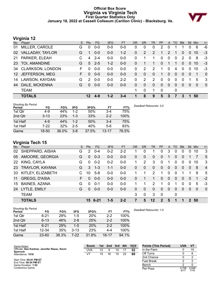### **Official Box Score Virginia vs Virginia Tech First Quarter Statistics Only January 18, 2022 at Cassell Coliseum (Carilion Clinic) - Blacksburg. Va.**



# **Virginia 12**

| No.             | Player                  | S. | <b>Pts</b> | FG.     | 3FG     | <b>FT</b> | <b>OR</b> | <b>DR</b>    | <b>TR</b>    | PF           | A            | <b>TO</b>    | <b>Blk</b> | <b>Stl</b>     | <b>Min</b> | $+/-$          |
|-----------------|-------------------------|----|------------|---------|---------|-----------|-----------|--------------|--------------|--------------|--------------|--------------|------------|----------------|------------|----------------|
| 01              | MILLER, CAROLE          | G  | 0          | $0 - 0$ | $0 - 0$ | $0 - 0$   | 0         | 0            | 0            | 2            | 0            |              |            | 0              | 6          | -6             |
| 02              | VALLADAY, TAYLOR        | G  |            | $0 - 0$ | $0-0$   | $1 - 2$   | 0         | 2            | 2            |              | 2            | 1            | 0          | 0              | 10         | -3             |
| 21              | PARKER, ELEAH           | С  | 4          | $2 - 4$ | $0-0$   | $0-0$     | 0         |              | 1            | 0            | $\mathbf{0}$ | $\mathbf 0$  | 2          | $\mathbf 0$    | 8          | -3             |
| 23              | TOI, AMANDINE           | G  | 5          | $2 - 5$ | $1 - 2$ | $0 - 0$   | 0         |              | 1            | 0            | 1            | 1            | $\Omega$   | $\Omega$       | 10         | $-3$           |
| 34              | <b>CLARKSON, LONDON</b> | F  | 0          | $0-0$   | $0-0$   | $0-0$     | 0         | 2            | 2            |              | $\mathbf 0$  | 4            | $\Omega$   | $\Omega$       | 10         | -3             |
| 12 <sup>1</sup> | JEFFERSON, MEG          | F. | $\Omega$   | $0 - 0$ | $0 - 0$ | $0 - 0$   | 0         | $\Omega$     | $\mathbf{0}$ | 1            | $\Omega$     | $\Omega$     | $\Omega$   | $\Omega$       | -1         | $\overline{0}$ |
| 14              | LAWSON, KAYDAN          | G  | 2          | $0-0$   | $0-0$   | $2 - 2$   | 0         | 2            | 2            | 0            | $\mathbf 0$  | 0            | $\Omega$   |                | 5          | -3             |
| 44              | DALE, MCKENNA           | G  | $\Omega$   | $0 - 0$ | $0 - 0$ | $0 - 0$   | 0         | $\mathbf{0}$ | $\mathbf{0}$ | $\mathbf{0}$ | $\mathbf{0}$ | $\mathbf{0}$ | $\Omega$   | $\overline{0}$ | $\Omega$   | $\overline{0}$ |
|                 | <b>TEAM</b>             |    |            |         |         |           | 1         | $\Omega$     | 1            | $\Omega$     |              | 0            |            |                |            |                |
|                 | <b>TOTALS</b>           |    | 12         | 4-9     | $1 - 2$ | $3 - 4$   |           | 8            | 9            | 5            | 3            | 7            | 3          |                | 50         |                |
|                 |                         |    |            |         |         |           |           |              |              |              |              |              |            |                |            |                |

| <b>Shooting By Period</b><br>Period | FG       | FG%   | 3FG     | 3FG%  | FT        | FT%   | Deadball Rebounds: 3,0 |
|-------------------------------------|----------|-------|---------|-------|-----------|-------|------------------------|
| 1st Qtr                             | 4-9      | 44%   | $1 - 2$ | 50%   | 3-4       | 75%   |                        |
| 2nd Qtr                             | $3 - 13$ | 23%   | $1 - 3$ | 33%   | $2 - 2$   | 100%  |                        |
| 1st Half                            | $4-9$    | 44%   | $1 - 2$ | 50%   | $3 - 4$   | 75%   |                        |
| 1st Half                            | $7-22$   | 32%   | $2 - 5$ | 40%   | $5-6$     | 83%   |                        |
| Game                                | 18-50    | 36.0% | $3 - 8$ | 37.5% | $13 - 17$ | 76.5% |                        |

# **Virginia Tech 15**

| No. | Player               | S. | <b>Pts</b> | FG      | 3FG     | <b>FT</b> | OR       | <b>DR</b> | TR            | <b>PF</b>      | A              | TO       | <b>Blk</b>     | <b>Stl</b>     | Min | $+/-$          |
|-----|----------------------|----|------------|---------|---------|-----------|----------|-----------|---------------|----------------|----------------|----------|----------------|----------------|-----|----------------|
| 02  | SHEPPARD, AISHA      | G  | 2          | $0 - 4$ | $0 - 2$ | $2 - 2$   |          | 0         |               | 0              | 3              | $\Omega$ | 0              | 0              | 10  | 3              |
|     | 05 AMOORE, GEORGIA   | G  | $\Omega$   | $0 - 3$ | $0 - 0$ | $0-0$     | 0        | $\Omega$  | $\mathbf{0}$  | $\overline{0}$ |                | $\Omega$ | 0              |                |     | 5              |
|     | 22 KING, CAYLA       | G  | 0          | $0 - 2$ | $0 - 2$ | $0 - 0$   |          | 2         | 3             | $\Omega$       | 1              | $\Omega$ | 0              | 0              | 10  | 3              |
|     | 23 TRAYLOR, KAYANA   | G  | 3          | $1 - 3$ | $1 - 1$ | $0-0$     | $\Omega$ | $\Omega$  | $\mathbf{0}$  | $\mathbf{0}$   | $\overline{0}$ | $\Omega$ | $\overline{0}$ | $\overline{0}$ | 8   | $\overline{4}$ |
| 33  | KITLEY, ELIZABETH    |    | 10         | $5 - 8$ | $0-0$   | $0-0$     |          |           | $\mathcal{P}$ |                | 0              | $\Omega$ | 1.             | 1              | 9   | 5              |
| 11  | <b>GREGG, D'ASIA</b> | F. | 0          | $0-0$   | $0 - 0$ | $0-0$     | 0        |           |               | $\Omega$       | $\Omega$       | $\Omega$ | $\Omega$       | $\Omega$       |     | $-2$           |
| 15  | <b>BAINES, AZANA</b> | G  | $\Omega$   | $0 - 1$ | $0-0$   | $0 - 0$   |          |           | 2             |                | 0              |          | 0              | $\Omega$       | 5   | -3             |
| 24  | LYTLE, EMILY         | G  | $\Omega$   | $0 - 0$ | $0 - 0$ | $0-0$     | 0        | $\Omega$  | $\Omega$      | $\Omega$       | $\Omega$       | $\Omega$ | $\Omega$       | $\Omega$       | 0   | $\Omega$       |
|     | <b>TEAM</b>          |    |            |         |         |           | 3        | 0         | 3             | $\Omega$       |                | 0        |                |                |     |                |
|     | <b>TOTALS</b>        |    |            | 15 6-21 | $1 - 5$ | $2 - 2$   |          | 5         | $12 \,$       | 2              | 5              |          |                | 2              | 50  |                |

| <b>Shooting By Period</b> |       |          |            |           |       | Deadball Rebounds: 1,0 |
|---------------------------|-------|----------|------------|-----------|-------|------------------------|
|                           |       |          |            |           |       |                        |
| $6 - 21$                  | 29%   | $1-5$    | 20%        | $2 - 2$   | 100%  |                        |
| $6 - 13$                  | 46%   | $2 - 8$  | 25%        | $2 - 2$   | 100%  |                        |
| $6 - 21$                  | 29%   | $1-5$    | <b>20%</b> | $2 - 2$   | 100%  |                        |
| 12-34                     | 35%   | $3 - 13$ | 23%        | $4 - 4$   | 100%  |                        |
| $23 - 60$                 | 38.3% | $7 - 22$ | 31.8%      | $16 - 17$ | 94.1% |                        |
|                           | FG    | FG%      | 3FG        | 3FG%      | FT    | FT%                    |

| Game Notes:                                                      | <b>Score</b> | 1st l | 2nd | 3rd | 4th | <b>TOT</b> | <b>Points (This Period)</b> | <b>UVA</b>    | VT            |
|------------------------------------------------------------------|--------------|-------|-----|-----|-----|------------|-----------------------------|---------------|---------------|
| Officials: Dee Kantner, Jennifer Rezac, Kevin<br><b>Sparrock</b> | UVA          | 12    | 9   | 14  |     | 52         | In the Paint                |               | 10            |
| Attendance: 1518                                                 | VT           | 15    | 16  | 15  | 23  | 69         | Off Turns                   |               | 6             |
|                                                                  |              |       |     |     |     |            | 2nd Chance                  |               |               |
| Start Time: 05:01 PM ET<br>End Time: 06:54 PM ET                 |              |       |     |     |     |            | <b>Fast Break</b>           |               |               |
| Game Duration: 1:52                                              |              |       |     |     |     |            | Bench                       |               |               |
| Conference Game:                                                 |              |       |     |     |     |            | Per Poss                    | 0.706<br>6/17 | 0.938<br>7/16 |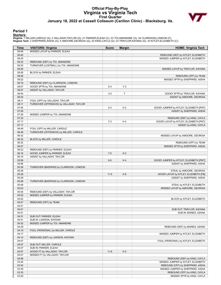### **Official Play-By-Play Virginia vs Virginia Tech First Quarter January 18, 2022 at Cassell Coliseum (Carilion Clinic) - Blacksburg. Va.**



#### **Period 1**

#### **Starters:**

**Virginia**: 1 MILLER,CAROLE (G); 2 VALLADAY,TAYLOR (G); 21 PARKER,ELEAH (C); 23 TOI,AMANDINE (G); 34 CLARKSON,LONDON (F);<br>**Virginia Tech**: 2 SHEPPARD,AISHA (G); 5 AMOORE,GEORGIA (G); 22 KING,CAYLA (G); 23 TRAYLOR,KAYANA (G

| <b>Time</b>    | <b>VISITORS: Virginia</b>                | <b>Score</b> | <b>Margin</b>  | <b>HOME: Virginia Tech</b>                              |
|----------------|------------------------------------------|--------------|----------------|---------------------------------------------------------|
| 09:48          | MISSED LAYUP by PARKER, ELEAH            |              |                |                                                         |
| 09:45          |                                          |              |                | REBOUND (DEF) by KITLEY, ELIZABETH                      |
| 09:35          |                                          |              |                | MISSED JUMPER by KITLEY, ELIZABETH                      |
| 09:32          | REBOUND (DEF) by TOI, AMANDINE           |              |                |                                                         |
| 09:30          | TURNOVER (LOSTBALL) by TOI, AMANDINE     |              |                |                                                         |
| 09:26          |                                          |              |                | MISSED LAYUP by TRAYLOR, KAYANA                         |
| 09:26          | BLOCK by PARKER, ELEAH                   |              |                |                                                         |
| 09:26<br>09:22 |                                          |              |                | REBOUND (OFF) by TEAM<br>MISSED 3PTR by SHEPPARD, AISHA |
| 09:18          | REBOUND (DEF) by CLARKSON, LONDON        |              |                |                                                         |
| 09:07          | GOOD! 3PTR by TOI, AMANDINE              | $0 - 3$      | V <sub>3</sub> |                                                         |
| 09:07          | ASSIST by VALLADAY, TAYLOR               |              |                |                                                         |
| 08:44          |                                          | $3-3$        | T              | GOOD! 3PTR by TRAYLOR, KAYANA                           |
| 08:44          |                                          |              |                | ASSIST by AMOORE, GEORGIA                               |
| 08:11          | FOUL (OFF) by VALLADAY, TAYLOR           |              |                |                                                         |
| 08:11          | TURNOVER (OFFENSIVE) by VALLADAY, TAYLOR |              |                |                                                         |
| 07:55          |                                          | $5 - 3$      | H <sub>2</sub> | GOOD! JUMPER by KITLEY, ELIZABETH [PNT]                 |
| 07:55          |                                          |              |                | ASSIST by SHEPPARD, AISHA                               |
| 07:26          | MISSED JUMPER by TOI, AMANDINE           |              |                |                                                         |
| 07:23          |                                          |              |                | REBOUND (DEF) by KING, CAYLA                            |
| 07:17          |                                          | $7 - 3$      | H4             | GOOD! LAYUP by KITLEY, ELIZABETH [PNT]                  |
| 07:17          |                                          |              |                | ASSIST by KING, CAYLA                                   |
| 06:49          | FOUL (OFF) by MILLER, CAROLE             |              |                |                                                         |
| 06:49          | TURNOVER (OFFENSIVE) by MILLER, CAROLE   |              |                |                                                         |
| 06:32<br>06:32 | BLOCK by MILLER, CAROLE                  |              |                | MISSED LAYUP by AMOORE, GEORGIA                         |
| 06:32          |                                          |              |                | REBOUND (OFF) by TEAM                                   |
| 06:27          |                                          |              |                | MISSED 3PTR by SHEPPARD, AISHA                          |
| 06:23          | REBOUND (DEF) by PARKER, ELEAH           |              |                |                                                         |
| 06:16          | GOOD! JUMPER by PARKER, ELEAH            | $7 - 5$      | H <sub>2</sub> |                                                         |
| 06:16          | ASSIST by VALLADAY, TAYLOR               |              |                |                                                         |
| 05:56          |                                          | $9-5$        | H4             | GOOD! JUMPER by KITLEY, ELIZABETH [PNT]                 |
| 05:56          |                                          |              |                | ASSIST by SHEPPARD, AISHA                               |
| 05:36          | TURNOVER (BADPASS) by CLARKSON, LONDON   |              |                |                                                         |
| 05:36          |                                          |              |                | STEAL by AMOORE, GEORGIA                                |
| 05:29          |                                          | $11 - 5$     | H <sub>6</sub> | GOOD! LAYUP by KITLEY, ELIZABETH [FB]                   |
| 05:29          |                                          |              |                | ASSIST by SHEPPARD, AISHA                               |
| 05:08          | TURNOVER (BADPASS) by CLARKSON, LONDON   |              |                |                                                         |
| 05:08          |                                          |              |                | STEAL by KITLEY, ELIZABETH                              |
| 05:03<br>05:00 | REBOUND (DEF) by VALLADAY, TAYLOR        |              |                | MISSED LAYUP by AMOORE, GEORGIA                         |
| 04:52          | MISSED JUMPER by PARKER, ELEAH           |              |                |                                                         |
| 04:52          |                                          |              |                | BLOCK by KITLEY, ELIZABETH                              |
| 04:51          | REBOUND (OFF) by TEAM                    |              |                |                                                         |
| 04:51          |                                          |              |                |                                                         |
| 04:51          |                                          |              |                | SUB OUT: TRAYLOR, KAYANA                                |
| 04:51          |                                          |              |                | SUB IN: BAINES, AZANA                                   |
| 04:51          | SUB OUT: PARKER, ELEAH                   |              |                |                                                         |
| 04:51          | SUB IN: LAWSON, KAYDAN                   |              |                |                                                         |
| 04:32          | MISSED JUMPER by TOI, AMANDINE           |              |                |                                                         |
| 04:29          |                                          |              |                | REBOUND (DEF) by BAINES, AZANA                          |
| 04:19          | FOUL (PERSONAL) by MILLER, CAROLE        |              |                |                                                         |
| 04:17          |                                          |              |                | MISSED JUMPER by KITLEY, ELIZABETH                      |
| 04:14          | REBOUND (DEF) by LAWSON, KAYDAN          |              |                |                                                         |
| 04:07<br>04:07 | SUB OUT: MILLER, CAROLE                  |              |                | FOUL (PERSONAL) by KITLEY, ELIZABETH                    |
| 04:07          | SUB IN: PARKER, ELEAH                    |              |                |                                                         |
| 04:07          | GOOD! FT by VALLADAY, TAYLOR             | $11 - 6$     | H <sub>5</sub> |                                                         |
| 04:07          | MISSED FT by VALLADAY, TAYLOR            |              |                |                                                         |
| 04:06          |                                          |              |                | REBOUND (DEF) by KING, CAYLA                            |
| 03:45          |                                          |              |                | MISSED JUMPER by KITLEY, ELIZABETH                      |
| 03:43          |                                          |              |                | REBOUND (OFF) by SHEPPARD, AISHA                        |
| 03:39          |                                          |              |                | MISSED JUMPER by SHEPPARD, AISHA                        |
| 03:33          |                                          |              |                | REBOUND (OFF) by KING, CAYLA                            |
| 03:29          |                                          |              |                | MISSED 3PTR by KING, CAYLA                              |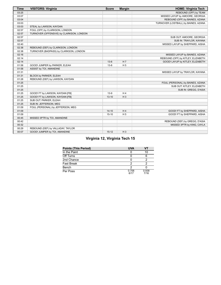| <b>Time</b> | <b>VISITORS: Virginia</b>                | <b>Score</b> | <b>Margin</b>  | <b>HOME: Virginia Tech</b>           |
|-------------|------------------------------------------|--------------|----------------|--------------------------------------|
| 03:25       |                                          |              |                | REBOUND (OFF) by TEAM                |
| 03:07       |                                          |              |                | MISSED LAYUP by AMOORE, GEORGIA      |
| 03:04       |                                          |              |                | REBOUND (OFF) by BAINES, AZANA       |
| 03:03       |                                          |              |                | TURNOVER (LOSTBALL) by BAINES, AZANA |
| 03:03       | STEAL by LAWSON, KAYDAN                  |              |                |                                      |
| 02:57       | FOUL (OFF) by CLARKSON, LONDON           |              |                |                                      |
| 02:57       | TURNOVER (OFFENSIVE) by CLARKSON, LONDON |              |                |                                      |
| 02:57       |                                          |              |                | SUB OUT: AMOORE, GEORGIA             |
| 02:57       |                                          |              |                | SUB IN: TRAYLOR, KAYANA              |
| 02:40       |                                          |              |                | MISSED LAYUP by SHEPPARD, AISHA      |
| 02:38       | REBOUND (DEF) by CLARKSON, LONDON        |              |                |                                      |
| 02:38       | TURNOVER (BADPASS) by CLARKSON, LONDON   |              |                |                                      |
| 02:16       |                                          |              |                | MISSED LAYUP by BAINES, AZANA        |
| 02:14       |                                          |              |                | REBOUND (OFF) by KITLEY, ELIZABETH   |
| 02:14       |                                          | $13-6$       | H <sub>7</sub> | GOOD! LAYUP by KITLEY, ELIZABETH     |
| 01:58       | GOOD! JUMPER by PARKER, ELEAH            | $13 - 8$     | H <sub>5</sub> |                                      |
| 01:58       | ASSIST by TOI, AMANDINE                  |              |                |                                      |
| 01:31       |                                          |              |                | MISSED LAYUP by TRAYLOR, KAYANA      |
| 01:31       | BLOCK by PARKER, ELEAH                   |              |                |                                      |
| 01:28       | REBOUND (DEF) by LAWSON, KAYDAN          |              |                |                                      |
| 01:25       |                                          |              |                | FOUL (PERSONAL) by BAINES, AZANA     |
| 01:25       |                                          |              |                | SUB OUT: KITLEY, ELIZABETH           |
| 01:25       |                                          |              |                | SUB IN: GREGG, D'ASIA                |
| 01:25       | GOOD! FT by LAWSON, KAYDAN [FB]          | $13-9$       | H4             |                                      |
| 01:25       | GOOD! FT by LAWSON, KAYDAN [FB]          | $13 - 10$    | $H_3$          |                                      |
| 01:25       | SUB OUT: PARKER, ELEAH                   |              |                |                                      |
| 01:25       | SUB IN: JEFFERSON, MEG                   |              |                |                                      |
| 01:09       | FOUL (PERSONAL) by JEFFERSON, MEG        |              |                |                                      |
| 01:09       |                                          | $14 - 10$    | H4             | GOOD! FT by SHEPPARD, AISHA          |
| 01:09       |                                          | $15 - 10$    | H <sub>5</sub> | GOOD! FT by SHEPPARD, AISHA          |
| 00:45       | MISSED 3PTR by TOI, AMANDINE             |              |                |                                      |
| 00:42       |                                          |              |                | REBOUND (DEF) by GREGG, D'ASIA       |
| 00:32       |                                          |              |                | MISSED 3PTR by KING, CAYLA           |
| 00:29       | REBOUND (DEF) by VALLADAY, TAYLOR        |              |                |                                      |
| 00:07       | GOOD! JUMPER by TOI, AMANDINE            | $15 - 12$    | $H_3$          |                                      |

# **Virginia 12, Virginia Tech 15**

| <b>Points (This Period)</b> | <b>UVA</b>    | VТ            |
|-----------------------------|---------------|---------------|
| In the Paint                |               |               |
| Off Turns                   |               |               |
| 2nd Chance                  |               |               |
| <b>Fast Break</b>           |               |               |
| Bench                       |               |               |
| Per Poss                    | 0.706<br>6/17 | 0.938<br>7/16 |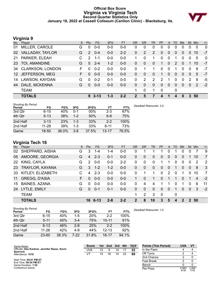### **Official Box Score Virginia vs Virginia Tech Second Quarter Statistics Only January 18, 2022 at Cassell Coliseum (Carilion Clinic) - Blacksburg. Va.**



# **Virginia 9**

| No. | Player                  | S. | <b>Pts</b>    | <b>FG</b> | 3FG     | <b>FT</b> | <b>OR</b> | <b>DR</b>      | <b>TR</b>      | PF       | A            | <b>TO</b> | <b>Blk</b>   | Stl            | Min | $+/-$       |
|-----|-------------------------|----|---------------|-----------|---------|-----------|-----------|----------------|----------------|----------|--------------|-----------|--------------|----------------|-----|-------------|
| 01  | MILLER, CAROLE          | G  | $\Omega$      | $0 - 0$   | $0 - 0$ | $0 - 0$   | 0         | 0              | 0              | 0        | 0            | 0         | 0            | 0              | 0   | $\mathbf 0$ |
| 02  | VALLADAY, TAYLOR        | G  | $\mathcal{P}$ | $0 - 4$   | $0 - 0$ | $2 - 2$   | 0         | $\overline{2}$ | $\overline{2}$ | 0        | $\mathbf{0}$ | 0         | $\Omega$     | $\overline{0}$ | 10  | $-7$        |
| 21  | PARKER, ELEAH           | C  | $\mathcal{P}$ | $1 - 1$   | $0-0$   | $0 - 0$   |           | 0              | 1              | 0        | $\Omega$     | 1         | $\Omega$     | $\Omega$       | 5   | $\mathbf 0$ |
| 23  | TOI, AMANDINE           | G  | 5             | $2 - 4$   | $1 - 2$ | $0 - 0$   | $\Omega$  | $\Omega$       | $\overline{0}$ | 1        | $\mathbf{0}$ | 2         | $\Omega$     |                | 10  | $-7$        |
| 34  | <b>CLARKSON, LONDON</b> | F. | $\Omega$      | $0 - 2$   | $0-0$   | $0-0$     | $\Omega$  | 1              | 1              | $\Omega$ | $\mathbf 0$  | 1         | $\Omega$     | $\Omega$       | 9   | $-7$        |
|     | 12 JEFFERSON, MEG       | F. | $\Omega$      | $0 - 0$   | $0 - 0$ | $0 - 0$   | 0         | $\Omega$       | $\Omega$       | 1        | $\Omega$     | $\Omega$  | $\Omega$     | $\Omega$       | 5   | $-7$        |
| 14  | LAWSON, KAYDAN          | G  | $\Omega$      | $0 - 2$   | $0 - 1$ | $0-0$     | $\Omega$  | 2              | 2              | 2        |              | 0         | 0            | 2              | 9   | $-5$        |
| 44  | DALE, MCKENNA           | G  | $\Omega$      | $0 - 0$   | $0 - 0$ | $0 - 0$   | 0         | $\Omega$       | $\mathbf{0}$   | 0        | $\mathbf{0}$ | $\Omega$  | $\mathbf{0}$ | $\overline{0}$ | 2   | $-2$        |
|     | <b>TEAM</b>             |    |               |           |         |           | 1.        | $\mathbf 0$    | 1              | 0        |              | 0         |              |                |     |             |
|     | <b>TOTALS</b>           |    | 9             | $3 - 13$  | $1 - 3$ | $2 - 2$   | 2         | 5              | 7              | 4        |              | 4         | 0            | 3              | 50  |             |
|     |                         |    |               |           |         |           |           |                |                |          |              |           |              |                |     |             |

| <b>Shooting By Period</b><br>Period | FG        | FG%   | 3FG     | 3FG%   | FT        | FT%   | Deadball Rebounds: 3,0 |
|-------------------------------------|-----------|-------|---------|--------|-----------|-------|------------------------|
| 3rd Qtr                             | $6 - 15$  | 40%   | $0 - 1$ | $00\%$ | $2 - 3$   | 67%   |                        |
| 4th Qtr                             | $5 - 13$  | 38%   | $1-2$   | 50%    | $6 - 8$   | 75%   |                        |
| 2nd Half                            | $3 - 13$  | 23%   | 1-3     | 33%    | $2 - 2$   | 100%  |                        |
| 2nd Half                            | $11 - 28$ | 39%   | $1 - 3$ | 33%    | $8 - 11$  | 73%   |                        |
| Game                                | 18-50     | 36.0% | $3 - 8$ | 37.5%  | $13 - 17$ | 76.5% |                        |

### **Virginia Tech 16**

| No. | Player               | S. | <b>Pts</b>    | FG      | 3FG     | <b>FT</b> | <b>OR</b> | <b>DR</b>    | <b>TR</b>      | <b>PF</b>      | A        | TO          | <b>Blk</b>  | <b>Stl</b>     | Min | $+/-$ |
|-----|----------------------|----|---------------|---------|---------|-----------|-----------|--------------|----------------|----------------|----------|-------------|-------------|----------------|-----|-------|
| 02  | SHEPPARD, AISHA      | G  | 3             | $1 - 4$ | 1-4     | $0-0$     | 0         |              |                |                | 0        |             | 0           | 0              | 7   | 9     |
|     | 05 AMOORE, GEORGIA   | G  | 4             | $2 - 3$ | $0 - 1$ | $0 - 0$   | 0         | $\Omega$     | $\overline{0}$ | $\overline{0}$ | $\Omega$ | $\Omega$    | 0           |                | 10  | 7     |
|     | 22 KING, CAYLA       | G  | $\mathcal{P}$ | $0 - 0$ | $0-0$   | $2 - 2$   | 0         | 0            | $\mathbf 0$    | 1              |          | $\Omega$    | $\mathbf 0$ | $\mathbf 0$    | 2   | 2     |
|     | 23 TRAYLOR, KAYANA   | G  | 3             | $1 - 2$ | $1 - 2$ | $0-0$     | $\Omega$  | $\mathbf{0}$ | $\mathbf{0}$   | $\Omega$       | $\Omega$ |             | $\Omega$    | $\overline{0}$ | 8   | 3     |
| 33  | KITLEY, ELIZABETH    | C  | 4             | $2 - 3$ | $0-0$   | $0-0$     | 0         |              |                | 0              | 2        | $\Omega$    | 1           | $\Omega$       | 10  | 7     |
| 11  | <b>GREGG, D'ASIA</b> | F. | $\Omega$      | $0 - 0$ | $0-0$   | $0 - 0$   |           | $\Omega$     |                | 0              |          |             | $\Omega$    |                | 4   | $-2$  |
| 15  | <b>BAINES, AZANA</b> | G  | 0             | $0 - 0$ | $0-0$   | $0 - 0$   | $\Omega$  | 4            | 4              |                |          | 0           | 1           | $\Omega$       | 6   | 11    |
| 24  | LYTLE, EMILY         | G  | $\Omega$      | $0 - 1$ | $0 - 1$ | $0 - 0$   | $\Omega$  | $\Omega$     | $\Omega$       | $\Omega$       | $\Omega$ |             | $\Omega$    | $\mathbf{0}$   | -3  | $-2$  |
|     | <b>TEAM</b>          |    |               |         |         |           | 1         | 2            | 3              | -0             |          | $\mathbf 0$ |             |                |     |       |
|     | <b>TOTALS</b>        |    |               | 16 6-13 | $2 - 8$ | $2 - 2$   | 2         | 8            | 10             | 3              | 5        | 4           | 2           | 2              | 50  |       |

| <b>Shooting By Period</b> |           |       |         |            |           |       |                        |
|---------------------------|-----------|-------|---------|------------|-----------|-------|------------------------|
| Period                    | FG        | FG%   | 3FG     | 3FG%       | FT        | FT%   | Deadball Rebounds: 1,0 |
| 3rd Qtr                   | $6 - 15$  | 40%   | 1-5     | <b>20%</b> | $2 - 2$   | 100%  |                        |
| 4th Qtr                   | $5 - 11$  | 45%   | $3 - 4$ | 75%        | $10 - 11$ | 91%   |                        |
| 2nd Half                  | $6 - 13$  | 46%   | $2 - 8$ | 25%        | $2 - 2$   | 100%  |                        |
| 2nd Half                  | $11 - 26$ | 42%   | $4-9$   | 44%        | $12 - 13$ | 92%   |                        |
| Game                      | $23 - 60$ | 38.3% | 7-22    | 31.8%      | 16-17     | 94.1% |                        |

| Game Notes:                                                      | <b>Score</b> |    | 1st 2nd | 3rd | 4th | тот | <b>Points (This Period)</b> | <b>UVA</b>    | <b>VT</b>    |
|------------------------------------------------------------------|--------------|----|---------|-----|-----|-----|-----------------------------|---------------|--------------|
| Officials: Dee Kantner, Jennifer Rezac, Kevin<br><b>Sparrock</b> | UVA          | 12 | 9       | 14  |     | 52  | In the Paint                |               |              |
| Attendance: 1518                                                 | V٦           | 15 | 16      | 15  | 23  | 69  | Off Turns                   |               |              |
|                                                                  |              |    |         |     |     |     | 2nd Chance                  |               |              |
| Start Time: 05:01 PM ET<br>End Time: 06:54 PM ET                 |              |    |         |     |     |     | <b>Fast Break</b>           |               |              |
| Game Duration: 1:52                                              |              |    |         |     |     |     | Bench                       |               |              |
| Conference Game:                                                 |              |    |         |     |     |     | Per Poss                    | 0.563<br>4/16 | .000<br>7/16 |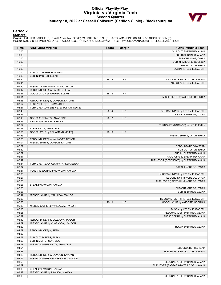### **Official Play-By-Play Virginia vs Virginia Tech Second Quarter January 18, 2022 at Cassell Coliseum (Carilion Clinic) - Blacksburg. Va.**



### **Period 2**

#### **Starters:**

**Virginia**: 1 MILLER,CAROLE (G); 2 VALLADAY,TAYLOR (G); 21 PARKER,ELEAH (C); 23 TOI,AMANDINE (G); 34 CLARKSON,LONDON (F);<br>**Virginia Tech**: 2 SHEPPARD,AISHA (G); 5 AMOORE,GEORGIA (G); 22 KING,CAYLA (G); 23 TRAYLOR,KAYANA (G

| <b>Time</b> | <b>VISITORS: Virginia</b>             | <b>Score</b> | <b>Margin</b>  | <b>HOME: Virginia Tech</b>              |
|-------------|---------------------------------------|--------------|----------------|-----------------------------------------|
| 10:00       |                                       |              |                | SUB OUT: SHEPPARD, AISHA                |
| 10:00       |                                       |              |                | SUB OUT: BAINES, AZANA                  |
| 10:00       |                                       |              |                | SUB OUT: KING, CAYLA                    |
| 10:00       |                                       |              |                | SUB IN: AMOORE, GEORGIA                 |
| 10:00       |                                       |              |                | SUB IN: LYTLE, EMILY                    |
| 10:00       |                                       |              |                | SUB IN: KITLEY, ELIZABETH               |
| 10:00       | SUB OUT: JEFFERSON, MEG               |              |                |                                         |
| 10:00       | SUB IN: PARKER, ELEAH                 |              |                |                                         |
| 09:44       |                                       | $18-12$      | H <sub>6</sub> | GOOD! 3PTR by TRAYLOR, KAYANA           |
| 09:44       |                                       |              |                | ASSIST by KITLEY, ELIZABETH             |
| 09:20       | MISSED LAYUP by VALLADAY, TAYLOR      |              |                |                                         |
| 09:17       | REBOUND (OFF) by PARKER, ELEAH        |              |                |                                         |
| 09:17       | GOOD! LAYUP by PARKER, ELEAH          | $18 - 14$    | H <sub>4</sub> |                                         |
| 09:01       |                                       |              |                | MISSED 3PTR by AMOORE, GEORGIA          |
| 08:58       | REBOUND (DEF) by LAWSON, KAYDAN       |              |                |                                         |
| 08:57       | FOUL (OFF) by TOI, AMANDINE           |              |                |                                         |
| 08:57       | TURNOVER (OFFENSIVE) by TOI, AMANDINE |              |                |                                         |
| 08:43       |                                       | $20 - 14$    | H <sub>6</sub> | GOOD! JUMPER by KITLEY, ELIZABETH       |
| 08:43       |                                       |              |                | ASSIST by GREGG, D'ASIA                 |
| 08:13       | GOOD! 3PTR by TOI, AMANDINE           | $20 - 17$    | $H_3$          |                                         |
| 08:13       | ASSIST by LAWSON, KAYDAN              |              |                |                                         |
| 07:57       |                                       |              |                | TURNOVER (BADPASS) by LYTLE, EMILY      |
| 07:57       | STEAL by TOI, AMANDINE                |              |                |                                         |
| 07:55       | GOOD! LAYUP by TOI, AMANDINE [FB]     | $20-19$      | H1             |                                         |
| 07:33       |                                       |              |                | MISSED 3PTR by LYTLE, EMILY             |
| 07:28       | REBOUND (DEF) by VALLADAY, TAYLOR     |              |                |                                         |
| 07:04       | MISSED 3PTR by LAWSON, KAYDAN         |              |                |                                         |
| 06:59       |                                       |              |                | REBOUND (DEF) by TEAM                   |
| 06:59       |                                       |              |                | SUB OUT: LYTLE, EMILY                   |
| 06:59       |                                       |              |                | SUB IN: SHEPPARD, AISHA                 |
| 06:47       |                                       |              |                | FOUL (OFF) by SHEPPARD, AISHA           |
| 06:47       |                                       |              |                | TURNOVER (OFFENSIVE) by SHEPPARD, AISHA |
| 06:34       | TURNOVER (BADPASS) by PARKER, ELEAH   |              |                |                                         |
| 06:34       |                                       |              |                | STEAL by GREGG, D'ASIA                  |
| 06:31       | FOUL (PERSONAL) by LAWSON, KAYDAN     |              |                |                                         |
| 06:30       |                                       |              |                | MISSED JUMPER by KITLEY, ELIZABETH      |
| 06:27       |                                       |              |                | REBOUND (OFF) by GREGG, D'ASIA          |
| 06:26       |                                       |              |                | TURNOVER (LOSTBALL) by GREGG, D'ASIA    |
| 06:26       | STEAL by LAWSON, KAYDAN               |              |                |                                         |
| 06:26       |                                       |              |                | SUB OUT: GREGG, D'ASIA                  |
| 06:26       |                                       |              |                | SUB IN: BAINES, AZANA                   |
| 06:11       | MISSED LAYUP by VALLADAY, TAYLOR      |              |                |                                         |
| 06:09       |                                       |              |                | REBOUND (DEF) by KITLEY, ELIZABETH      |
| 05:55       |                                       | $22 - 19$    | $H_3$          | GOOD! LAYUP by AMOORE, GEORGIA          |
| 05:30       | MISSED JUMPER by VALLADAY, TAYLOR     |              |                |                                         |
| 05:30       |                                       |              |                | BLOCK by KITLEY, ELIZABETH              |
| 05:26       |                                       |              |                | REBOUND (DEF) by BAINES, AZANA          |
| 05:22       |                                       |              |                | MISSED 3PTR by SHEPPARD, AISHA          |
| 05:19       | REBOUND (DEF) by VALLADAY, TAYLOR     |              |                |                                         |
| 04:59       | MISSED LAYUP by CLARKSON, LONDON      |              |                |                                         |
| 04:59       |                                       |              |                | BLOCK by BAINES, AZANA                  |
| 04:59       | REBOUND (OFF) by TEAM                 |              |                |                                         |
| 04:59       |                                       |              |                |                                         |
| 04:59       |                                       |              |                |                                         |
|             | SUB OUT: PARKER, ELEAH                |              |                |                                         |
| 04:59       | SUB IN: JEFFERSON, MEG                |              |                |                                         |
| 04:57       | MISSED JUMPER by TOI, AMANDINE        |              |                |                                         |
| 04:54       |                                       |              |                | REBOUND (DEF) by TEAM                   |
| 04:27       |                                       |              |                | MISSED 3PTR by TRAYLOR, KAYANA          |
| 04:23       | REBOUND (DEF) by LAWSON, KAYDAN       |              |                |                                         |
| 03:56       | MISSED JUMPER by CLARKSON, LONDON     |              |                |                                         |
| 03:53       |                                       |              |                | REBOUND (DEF) by BAINES, AZANA          |
| 03:39       |                                       |              |                | TURNOVER (BADPASS) by TRAYLOR, KAYANA   |
| 03:39       | STEAL by LAWSON, KAYDAN               |              |                |                                         |
| 03:12       | MISSED LAYUP by LAWSON, KAYDAN        |              |                |                                         |
| 03:09       |                                       |              |                | REBOUND (DEF) by BAINES, AZANA          |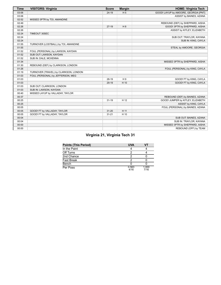| <b>Time</b> | <b>VISITORS: Virginia</b>             | <b>Score</b> | <b>Margin</b>  | <b>HOME: Virginia Tech</b>           |
|-------------|---------------------------------------|--------------|----------------|--------------------------------------|
| 03:06       |                                       | $24-19$      | H <sub>5</sub> | GOOD! LAYUP by AMOORE, GEORGIA [PNT] |
| 03:06       |                                       |              |                | ASSIST by BAINES, AZANA              |
| 02:52       | MISSED 3PTR by TOI, AMANDINE          |              |                |                                      |
| 02:49       |                                       |              |                | REBOUND (DEF) by SHEPPARD, AISHA     |
| 02:26       |                                       | $27-19$      | H8             | GOOD! 3PTR by SHEPPARD, AISHA        |
| 02:26       |                                       |              |                | ASSIST by KITLEY, ELIZABETH          |
| 02:24       | TIMEOUT 30SEC                         |              |                |                                      |
| 02:24       |                                       |              |                | SUB OUT: TRAYLOR, KAYANA             |
| 02:24       |                                       |              |                | SUB IN: KING, CAYLA                  |
| 01:55       | TURNOVER (LOSTBALL) by TOI, AMANDINE  |              |                |                                      |
| 01:55       |                                       |              |                | STEAL by AMOORE, GEORGIA             |
| 01:52       | FOUL (PERSONAL) by LAWSON, KAYDAN     |              |                |                                      |
| 01:52       | SUB OUT: LAWSON, KAYDAN               |              |                |                                      |
| 01:52       | SUB IN: DALE, MCKENNA                 |              |                |                                      |
| 01:34       |                                       |              |                | MISSED 3PTR by SHEPPARD, AISHA       |
| 01:30       | REBOUND (DEF) by CLARKSON, LONDON     |              |                |                                      |
| 01:26       |                                       |              |                | FOUL (PERSONAL) by KING, CAYLA       |
| 01:19       | TURNOVER (TRAVEL) by CLARKSON, LONDON |              |                |                                      |
| 01:03       | FOUL (PERSONAL) by JEFFERSON, MEG     |              |                |                                      |
| 01:03       |                                       | 28-19        | H <sub>9</sub> | GOOD! FT by KING, CAYLA              |
| 01:03       |                                       | 29-19        | H 10           | GOOD! FT by KING, CAYLA              |
| 01:03       | SUB OUT: CLARKSON, LONDON             |              |                |                                      |
| 01:03       | SUB IN: LAWSON, KAYDAN                |              |                |                                      |
| 00:40       | MISSED LAYUP by VALLADAY, TAYLOR      |              |                |                                      |
| 00:37       |                                       |              |                | REBOUND (DEF) by BAINES, AZANA       |
| 00:25       |                                       | $31 - 19$    | H 12           | GOOD! JUMPER by KITLEY, ELIZABETH    |
| 00:25       |                                       |              |                | ASSIST by KING, CAYLA                |
| 00:05       |                                       |              |                | FOUL (PERSONAL) by BAINES, AZANA     |
| 00:05       | GOOD! FT by VALLADAY, TAYLOR          | $31 - 20$    | H 11           |                                      |
| 00:05       | GOOD! FT by VALLADAY, TAYLOR          | $31 - 21$    | H 10           |                                      |
| 00:04       |                                       |              |                | SUB OUT: BAINES, AZANA               |
| 00:04       |                                       |              |                | SUB IN: TRAYLOR, KAYANA              |
| 00:00       |                                       |              |                | MISSED 3PTR by SHEPPARD, AISHA       |
| 00:00       |                                       |              |                | REBOUND (OFF) by TEAM                |

# **Virginia 21, Virginia Tech 31**

| <b>Points (This Period)</b> | <b>UVA</b>    |               |
|-----------------------------|---------------|---------------|
| In the Paint                |               |               |
| Off Turns                   |               |               |
| 2nd Chance                  |               |               |
| <b>Fast Break</b>           |               |               |
| Bench                       |               |               |
| Per Poss                    | 0.563<br>4/16 | 1.000<br>7/16 |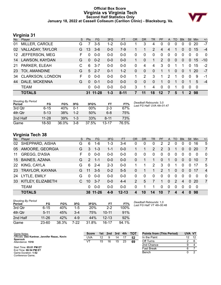### **Official Box Score Virginia vs Virginia Tech Second Half Statistics Only January 18, 2022 at Cassell Coliseum (Carilion Clinic) - Blacksburg. Va.**



### **Virginia 31**

| No.             | Player                  | S  | <b>Pts</b> | <b>FG</b> | 3FG     | <b>FT</b> | <b>OR</b> | <b>DR</b>     | TR             | <b>PF</b>      | A             | TO | <b>Blk</b> | Stl      | <b>Min</b> | $+/-$    |
|-----------------|-------------------------|----|------------|-----------|---------|-----------|-----------|---------------|----------------|----------------|---------------|----|------------|----------|------------|----------|
| 01              | MILLER, CAROLE          | G  |            | $3-5$     | $1 - 2$ | $0 - 0$   |           | 3             | 4              | 0              | $\Omega$      | 0  | 0          | 0        | 20         | $-7$     |
| 02              | <b>VALLADAY, TAYLOR</b> | G  | 13         | $3 - 6$   | $0 - 0$ | $7-9$     |           |               | $\overline{2}$ | $\overline{4}$ | 4             | 1  | $\Omega$   | 0        | 15         | $-4$     |
| 12 <sup>°</sup> | JEFFERSON, MEG          | F. | 0          | $0 - 0$   | $0 - 0$ | $0 - 0$   | 0         | $\Omega$      | 0              | $\Omega$       | $\mathbf 0$   | 0  | $\Omega$   | $\Omega$ | $\Omega$   | $\Omega$ |
| 14              | LAWSON, KAYDAN          | G  | $\Omega$   | $0 - 2$   | $0 - 0$ | $0 - 0$   |           | $\Omega$      | 1              | 2              | $\mathbf{0}$  | 0  | $\Omega$   | $\Omega$ | 15         | $-10$    |
| 21              | PARKER, ELEAH           | C  | 6          | $3 - 7$   | $0 - 0$ | $0-0$     | $\Omega$  | 4             | 4              | 3              | $\Omega$      | 1  | 1          | $\Omega$ | 15         | $-2$     |
| 23              | TOI, AMANDINE           | G  | 5          | $2 - 7$   | $0 - 1$ | $1 - 2$   | 0         | $\Omega$      | $\Omega$       | 1              |               | 0  | $\Omega$   |          | 20         | $-7$     |
| 34              | <b>CLARKSON, LONDON</b> | F. | $\Omega$   | $0 - 0$   | $0 - 0$ | $0 - 0$   |           | $\mathcal{P}$ | 3              | 1              | $\mathcal{P}$ | 1  | $\Omega$   | $\Omega$ | 9          | $-1$     |
| 44              | DALE, MCKENNA           | G  | $\Omega$   | $0 - 1$   | $0 - 0$ | $0 - 0$   | 0         | $\Omega$      | $\Omega$       | 1              | $\Omega$      | 1  | 0          |          | 5          | $-4$     |
|                 | <b>TEAM</b>             |    | 0          | $0 - 0$   | $0-0$   | $0-0$     | 3         | 1             | 4              | $\Omega$       | $\mathbf 0$   | 1  | 0          | $\Omega$ | $\Omega$   |          |
|                 | <b>TOTALS</b>           |    |            | 31 11-28  | $1 - 3$ | $8 - 11$  | 7         | 11            | 18             | $12 \,$        |               | 5  | 1          |          | 2 98       |          |

| <b>Shooting By Period</b><br>Period | FG        | FG%   | 3FG     | 3FG%  | FT        | FT%   | Deadball Rebounds: 3,0<br>Last FG Half: UVA 4th-01:47 |
|-------------------------------------|-----------|-------|---------|-------|-----------|-------|-------------------------------------------------------|
| 3rd Qtr                             | $6 - 15$  | 40%   | 0-1     | 00%   | $2 - 3$   | 67%   |                                                       |
| 4th Qtr                             | $5 - 13$  | 38%   | $1-2$   | 50%   | 6-8       | 75%   |                                                       |
| 2nd Half                            | $11 - 28$ | 39%   | $1 - 3$ | 33%   | $8 - 11$  | 73%   |                                                       |
| Game                                | 18-50     | 36.0% | $3 - 8$ | 37.5% | $13 - 17$ | 76.5% |                                                       |

### **Virginia Tech 38**

| No.       | Player               | S  | <b>Pts</b>    | FG      | 3FG     | FT        | <b>OR</b> | <b>DR</b> | TR       | <b>PF</b>     | $\mathsf{A}$ | TO       | <b>Blk</b>     | Stl            | Min         | $+/-$          |
|-----------|----------------------|----|---------------|---------|---------|-----------|-----------|-----------|----------|---------------|--------------|----------|----------------|----------------|-------------|----------------|
| 02        | SHEPPARD, AISHA      | G  | 6             | 1-6     | $1 - 3$ | 3-4       | 0         | 0         | 0        | 2             | 2            | 0        | 0              |                | 16          | 5              |
| 05        | AMOORE, GEORGIA      | G  | 3             | $1 - 3$ | 1-1     | $0 - 0$   |           |           | 2        | 2             | 3            | 1        | 0              | $\Omega$       | 20          | 7              |
| 11        | GREGG, D'ASIA        | F  | 0             | $0 - 0$ | $0 - 0$ | $0 - 0$   | 0         | 0         | 0        | $\Omega$      | $\mathbf 0$  | $\Omega$ | 0              | 0              | $\Omega$    | $\mathbf{0}$   |
| 15        | <b>BAINES, AZANA</b> | G  | $\mathcal{P}$ | -1-1    | $0 - 0$ | $0 - 0$   | 0         |           | 1        | $\Omega$      | 1            | $\Omega$ | $\Omega$       | $\Omega$       | 10          | 7              |
| <b>22</b> | KING, CAYLA          | G  | 6             | $2 - 4$ | $2 - 3$ | $0 - 0$   |           | 1         | 2        | 3             | $\mathbf 0$  | 1        | 0              | 0              | 17          | 5              |
| 23        | TRAYLOR, KAYANA      | G. | 11            | $3-5$   | $0 - 2$ | $5 - 5$   | 0         |           |          | $\mathcal{P}$ | 1            | $\Omega$ | $\Omega$       | $\Omega$       | 17          | $\overline{4}$ |
| 24        | LYTLE, EMILY         | G  | 0             | $0 - 0$ | $0 - 0$ | $0-0$     | 0         | $\Omega$  | $\Omega$ | $\Omega$      | $\mathbf 0$  | $\Omega$ | 0              | $\Omega$       | $\Omega$    | $\Omega$       |
| 33        | KITLEY, ELIZABETH    |    | 10            | $3 - 7$ | $0 - 0$ | $4 - 4$   | 2         | 5         |          |               | $\mathbf{0}$ | 2        | $\overline{4}$ | $\overline{0}$ | <b>20</b>   | $\overline{7}$ |
|           | <b>TEAM</b>          |    | 0             | $0-0$   | $0 - 0$ | $0-0$     | 0         | 1         | 1        | $\Omega$      | $\mathbf 0$  | $\Omega$ | 0              | $\Omega$       | $\mathbf 0$ |                |
|           | <b>TOTALS</b>        |    | 38.           | 11-26   | $4 - 9$ | $12 - 13$ | 4         | 10        | 14       | 10            |              | 4        | 4              | $\bf{0}$       | 98          |                |

| <b>Shooting By Period</b><br>Period | FG        | FG%   | 3FG   | 3FG%       | FT        | FT%      |
|-------------------------------------|-----------|-------|-------|------------|-----------|----------|
| 3rd Otr                             | 6-15      | 40%   | $1-5$ | <b>20%</b> | $2-2$     | 100%     |
| 4th Otr                             | $5 - 11$  | 45%   | $3-4$ | 75%        | $10 - 11$ | 91%      |
| 2nd Half                            | $11 - 26$ | 42%   | 4-9   | 44%        | $12 - 13$ | 92%      |
| Game                                | 23-60     | 38.3% | 7-22  | 31.8%      | 16-17     | $94.1\%$ |

*Deadball Rebounds:* 1,0 *Last FG Half:* VT 4th-00:48

| Game Notes:                                                      | <b>Score</b> | 1st l | 2nd | 3rd | 4th | <b>TOT</b> | <b>Points from (This Period)</b> | <b>UVA VT</b> |   |
|------------------------------------------------------------------|--------------|-------|-----|-----|-----|------------|----------------------------------|---------------|---|
| Officials: Dee Kantner, Jennifer Rezac, Kevin<br><b>Sparrock</b> | UVA          | 12    | 9   | 14  |     | 52         | In the Paint                     | 12            |   |
| Attendance: 1518                                                 | VT           | 15    | 16  | 15  | 23  | 69         | Off Turns                        |               |   |
|                                                                  |              |       |     |     |     |            | 2nd Chance                       |               |   |
| Start Time: 05:01 PM ET<br>End Time: 06:54 PM ET                 |              |       |     |     |     |            | Fast Break                       |               |   |
| Game Duration: 1:52<br>Conference Game:                          |              |       |     |     |     |            | Bench                            |               | ີ |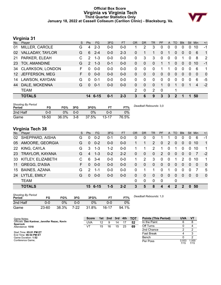### **Official Box Score Virginia vs Virginia Tech Third Quarter Statistics Only January 18, 2022 at Cassell Coliseum (Carilion Clinic) - Blacksburg. Va.**



# **Virginia 31**

| No.             | Player                  | S. | <b>Pts</b>    | <b>FG</b> | 3FG     | <b>FT</b> | <b>OR</b>      | <b>DR</b> | <b>TR</b>      | PF       | A              | TO          | <b>Blk</b> | <b>Stl</b> | <b>Min</b> | $+/-$        |
|-----------------|-------------------------|----|---------------|-----------|---------|-----------|----------------|-----------|----------------|----------|----------------|-------------|------------|------------|------------|--------------|
| 01              | MILLER, CAROLE          | G  | 4             | $2 - 3$   | $0 - 0$ | $0 - 0$   |                | 2         | 3              | 0        | 0              | 0           | 0          | 0          | 10         | -1           |
| 02              | VALLADAY, TAYLOR        | G  | 6             | $2 - 4$   | $0-0$   | $2 - 3$   | 0              | 1         | 1              | 0        | 1              | 0           | 0          | $\Omega$   | 6          | $\mathbf{1}$ |
| 21              | PARKER, ELEAH           | C  | 2             | $1 - 3$   | $0-0$   | $0-0$     | 0              | 3         | 3              | 0        | $\mathbf{0}$   | 0           |            | $\Omega$   | 8          | 2            |
| 23              | TOI, AMANDINE           | G  | $\mathcal{P}$ | $1 - 3$   | $0 - 1$ | $0 - 0$   | 0              | $\Omega$  | $\Omega$       | 1        | 1              | $\Omega$    | $\Omega$   | $\Omega$   | 10         | $-1$         |
| 34              | <b>CLARKSON, LONDON</b> | F  | 0             | $0-0$     | $0-0$   | $0-0$     | 0              | $\Omega$  | 0              | 1.       |                | 0           | $\Omega$   | $\Omega$   | 6          | 1            |
| 12 <sup>7</sup> | JEFFERSON, MEG          | F. | $\Omega$      | $0 - 0$   | $0 - 0$ | $0 - 0$   | 0              | $\Omega$  | $\Omega$       | $\Omega$ | $\overline{0}$ | 0           | 0          | $\Omega$   | $\Omega$   | $\mathbf{0}$ |
| 14              | LAWSON, KAYDAN          | G  | 0             | $0 - 1$   | $0-0$   | $0-0$     | 0              | $\Omega$  | 0              | 0        | $\mathbf{0}$   | 0           | 0          | $\Omega$   | 6          | -5           |
| 44              | DALE, MCKENNA           | G  | $\Omega$      | $0 - 1$   | $0 - 0$ | $0-0$     | 0              | $\Omega$  | $\Omega$       |          | $\Omega$       | 1           | 0          |            | 4          | $-2$         |
|                 | <b>TEAM</b>             |    |               |           |         |           | $\overline{2}$ | 0         | $\overline{2}$ | 0        |                | 1           |            |            |            |              |
|                 | <b>TOTALS</b>           |    | 14            | $6 - 15$  | $0 - 1$ | $2 - 3$   | 3              | 6         | 9              | 3        | 3              | $\mathbf 2$ |            |            | 50         |              |
|                 |                         |    |               |           |         |           |                |           |                |          |                |             |            |            |            |              |

| <b>Shooting By Period</b><br>Period | FG    | FG%   | 3FG     | 3FG%  |           | FT%   | Deadball Rebounds: 3,0 |
|-------------------------------------|-------|-------|---------|-------|-----------|-------|------------------------|
| 2nd Half                            | 0-0   | $0\%$ | $0 - 0$ | ገ%    | ጋ-0       | 0%    |                        |
| Game                                | 18-50 | 36.0% | $3 - 8$ | 37.5% | $13 - 17$ | 76.5% |                        |

### **Virginia Tech 38**

| No.       | Player                 | S  | <b>Pts</b>    | FG.     | 3FG     | FT      | <b>OR</b>    | <b>DR</b>    | TR           | <b>PF</b>    | $\mathsf{A}$   | TO                         | <b>Blk</b>    | Stl            | Min          | $+/-$          |
|-----------|------------------------|----|---------------|---------|---------|---------|--------------|--------------|--------------|--------------|----------------|----------------------------|---------------|----------------|--------------|----------------|
| 02        | SHEPPARD, AISHA        | G  | 0             | $0 - 2$ | $0 - 1$ | $0 - 0$ | 0            | 0            | $\Omega$     |              |                | 0                          | 0             | 0              | 6            | -1             |
| 05        | AMOORE, GEORGIA        | G  | $\Omega$      | $0 - 2$ | $0 - 0$ | $0-0$   |              |              | 2            | $\Omega$     | 2              | $\Omega$                   | $\Omega$      | $\Omega$       | 10           | 1              |
| <b>22</b> | KING, CAYLA            | G  | 3             | $1 - 3$ | $1 - 2$ | $0 - 0$ |              |              | 2            | 1            | $\Omega$       |                            | $\Omega$      | $\mathbf{0}$   | 10           | 1              |
| 23        | <b>TRAYLOR, KAYANA</b> | G  | 4             | $1 - 3$ | $0 - 2$ | $2 - 2$ | 0            | $\mathbf{0}$ | $\mathbf{0}$ | 2            | $\overline{0}$ | $\Omega$                   | $\Omega$      | $\overline{0}$ | 7            | $-2$           |
| 33        | KITLEY, ELIZABETH      |    | 6             | $3 - 4$ | $0-0$   | $0-0$   |              | 2            | 3            | $\Omega$     | $\mathbf{0}$   |                            | $\mathcal{P}$ | $\Omega$       | 10           | 1              |
| 11        | GREGG, D'ASIA          | F. | $\Omega$      | $0 - 0$ | $0 - 0$ | $0 - 0$ | $\mathbf{0}$ | $\Omega$     | $\mathbf{0}$ | $\mathbf{0}$ | $\mathbf{0}$   | $\Omega$                   | $\Omega$      | $\overline{0}$ | $\mathbf{0}$ | $\overline{0}$ |
| 15        | <b>BAINES, AZANA</b>   | G  | $\mathcal{P}$ | 1-1     | $0-0$   | $0 - 0$ | $\Omega$     |              |              | $\mathbf 0$  | 1              | $\Omega$                   | $\Omega$      | 0              |              | 5              |
| 24        | LYTLE, EMILY           | G  | $\Omega$      | $0 - 0$ | $0 - 0$ | $0 - 0$ | $\Omega$     | 0            | $\Omega$     | $\Omega$     | $\Omega$       | $\Omega$                   | $\Omega$      | $\Omega$       | 0            | $\Omega$       |
|           | <b>TEAM</b>            |    |               |         |         |         | $\Omega$     | 0            | $\Omega$     | $\mathbf 0$  |                | $\mathbf 0$                |               |                |              |                |
|           | <b>TOTALS</b>          |    |               | 15 6-15 | $1 - 5$ | $2 - 2$ | 3            | 5            | 8            | 4            | 4              | $\boldsymbol{\mathcal{P}}$ | $\mathbf{c}$  | $\bf{0}$       | 50           |                |

| <b>Shooting By Period</b><br>Period | FG        | FG%   | 3FG     | 3FG%  |       | FT%   | Deadball Rebounds: 1,0 |
|-------------------------------------|-----------|-------|---------|-------|-------|-------|------------------------|
| 2nd Half                            | 0-0       | 0%    | $0 - 0$ | $0\%$ | 0-0   | 0%    |                        |
| Game                                | $23 - 60$ | 38.3% | $7-22$  | 31.8% | 16-17 | 94.1% |                        |

| Game Notes:                                      | <b>Score</b> | 1st | 2 <sub>nd</sub> | 3rd | 4th | <b>TOT</b> | <b>Points (This Period)</b> | <b>UVA</b>    | <b>VT</b>     |
|--------------------------------------------------|--------------|-----|-----------------|-----|-----|------------|-----------------------------|---------------|---------------|
| Officials: Dee Kantner, Jennifer Rezac, Kevin    | UVA          | 12  |                 | 14  |     | 52         | In the Paint                |               |               |
| <b>Sparrock</b><br>Attendance: 1518              | VT           | 15  | 16              | 15  | 23  | 69         | Off Turns                   |               |               |
|                                                  |              |     |                 |     |     |            | 2nd Chance                  |               |               |
| Start Time: 05:01 PM ET<br>End Time: 06:54 PM ET |              |     |                 |     |     |            | <b>Fast Break</b>           |               |               |
| Game Duration: 1:52                              |              |     |                 |     |     |            | Bench                       |               |               |
| Conference Game;                                 |              |     |                 |     |     |            | Per Poss                    | 0.933<br>7/15 | 1.000<br>7/15 |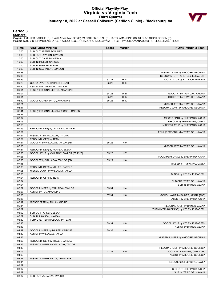### **Official Play-By-Play Virginia vs Virginia Tech Third Quarter January 18, 2022 at Cassell Coliseum (Carilion Clinic) - Blacksburg. Va.**



#### **Period 3**

#### **Starters:**

**Virginia**: 1 MILLER,CAROLE (G); 2 VALLADAY,TAYLOR (G); 21 PARKER,ELEAH (C); 23 TOI,AMANDINE (G); 34 CLARKSON,LONDON (F);<br>**Virginia Tech**: 2 SHEPPARD,AISHA (G); 5 AMOORE,GEORGIA (G); 22 KING,CAYLA (G); 23 TRAYLOR,KAYANA (G

| Time           | <b>VISITORS: Virginia</b>                                           | <b>Score</b> | <b>Margin</b>  | <b>HOME: Virginia Tech</b>              |
|----------------|---------------------------------------------------------------------|--------------|----------------|-----------------------------------------|
| 10:00          | SUB OUT: JEFFERSON, MEG                                             |              |                |                                         |
| 10:00          | SUB OUT: LAWSON, KAYDAN                                             |              |                |                                         |
| 10:00          | SUB OUT: DALE, MCKENNA                                              |              |                |                                         |
| 10:00          | SUB IN: MILLER, CAROLE                                              |              |                |                                         |
| 10:00          | SUB IN: PARKER, ELEAH                                               |              |                |                                         |
| 10:00          | SUB IN: CLARKSON, LONDON                                            |              |                |                                         |
| 09:38          |                                                                     |              |                | MISSED LAYUP by AMOORE, GEORGIA         |
| 09:35          |                                                                     |              |                | REBOUND (OFF) by KITLEY, ELIZABETH      |
| 09:35          |                                                                     | $33 - 21$    | H 12           | GOOD! LAYUP by KITLEY, ELIZABETH        |
| 09:20          | GOOD! LAYUP by PARKER, ELEAH                                        | 33-23        | H 10           |                                         |
| 09:20          | ASSIST by CLARKSON, LONDON                                          |              |                |                                         |
| 09:01          | FOUL (PERSONAL) by TOI, AMANDINE                                    |              |                |                                         |
| 09:01          |                                                                     | 34-23        | H 11           | GOOD! FT by TRAYLOR, KAYANA             |
| 09:01          |                                                                     | $35 - 23$    | H 12           | GOOD! FT by TRAYLOR, KAYANA             |
| 08:42          | GOOD! JUMPER by TOI, AMANDINE                                       | 35-25        | H 10           |                                         |
| 08:21          |                                                                     |              |                | MISSED 3PTR by TRAYLOR, KAYANA          |
| 08:17          |                                                                     |              |                | REBOUND (OFF) by AMOORE, GEORGIA        |
| 08:11          | FOUL (PERSONAL) by CLARKSON, LONDON                                 |              |                |                                         |
| 08:11          |                                                                     |              |                |                                         |
| 08:07          |                                                                     |              |                | MISSED 3PTR by SHEPPARD, AISHA          |
| 08:03          |                                                                     |              |                | REBOUND (OFF) by KING, CAYLA            |
| 07:58          |                                                                     |              |                | MISSED LAYUP by SHEPPARD, AISHA         |
| 07:55          | REBOUND (DEF) by VALLADAY, TAYLOR                                   |              |                |                                         |
| 07:51          |                                                                     |              |                | FOUL (PERSONAL) by TRAYLOR, KAYANA      |
| 07:51          | MISSED FT by VALLADAY, TAYLOR                                       |              |                |                                         |
| 07:51          | REBOUND (OFF) by TEAM                                               |              |                |                                         |
| 07:51          | GOOD! FT by VALLADAY, TAYLOR [FB]                                   | 35-26        | H9             |                                         |
| 07:35          |                                                                     |              |                | MISSED 3PTR by TRAYLOR, KAYANA          |
| 07:31          | REBOUND (DEF) by PARKER, ELEAH                                      |              |                |                                         |
| 07:28          | GOOD! LAYUP by VALLADAY, TAYLOR [FB/PNT]                            | 35-28        | H 7            |                                         |
| 07:28<br>07:28 | GOOD! FT by VALLADAY, TAYLOR [FB]                                   | 35-29        | H <sub>6</sub> | FOUL (PERSONAL) by SHEPPARD, AISHA      |
| 07:16          |                                                                     |              |                |                                         |
| 07:09          |                                                                     |              |                | MISSED 3PTR by KING, CAYLA              |
| 07:05          | REBOUND (DEF) by MILLER, CAROLE<br>MISSED LAYUP by VALLADAY, TAYLOR |              |                |                                         |
| 07:05          |                                                                     |              |                | BLOCK by KITLEY, ELIZABETH              |
| 07:04          | REBOUND (OFF) by TEAM                                               |              |                |                                         |
| 07:04          |                                                                     |              |                | SUB OUT: TRAYLOR, KAYANA                |
| 07:04          |                                                                     |              |                | SUB IN: BAINES, AZANA                   |
| 06:57          | GOOD! JUMPER by VALLADAY, TAYLOR                                    | 35-31        | H4             |                                         |
| 06:57          | ASSIST by TOI, AMANDINE                                             |              |                |                                         |
| 06:38          |                                                                     | $37 - 31$    | H <sub>6</sub> | GOOD! LAYUP by BAINES, AZANA [PNT]      |
| 06:38          |                                                                     |              |                | ASSIST by SHEPPARD, AISHA               |
| 06:17          | MISSED 3PTR by TOI, AMANDINE                                        |              |                |                                         |
| 06:14          |                                                                     |              |                | REBOUND (DEF) by BAINES, AZANA          |
| 06:02          |                                                                     |              |                | TURNOVER (BADPASS) by KITLEY, ELIZABETH |
| 06:02          | SUB OUT: PARKER, ELEAH                                              |              |                |                                         |
| 06:02          | SUB IN: LAWSON, KAYDAN                                              |              |                |                                         |
| 05:30          | TURNOVER (SHOTCLOCK) by TEAM                                        |              |                |                                         |
| 05:13          |                                                                     | 39-31        | H <sub>8</sub> | GOOD! LAYUP by KITLEY, ELIZABETH        |
| 05:13          |                                                                     |              |                | ASSIST by BAINES, AZANA                 |
| 04:49          | GOOD! JUMPER by MILLER, CAROLE                                      | 39-33        | H <sub>6</sub> |                                         |
| 04:49          | ASSIST by VALLADAY, TAYLOR                                          |              |                |                                         |
| 04:26          |                                                                     |              |                | MISSED JUMPER by AMOORE, GEORGIA        |
| 04:23          | REBOUND (DEF) by MILLER, CAROLE                                     |              |                |                                         |
| 04:16          | MISSED JUMPER by VALLADAY, TAYLOR                                   |              |                |                                         |
| 04:13          |                                                                     |              |                | REBOUND (DEF) by AMOORE, GEORGIA        |
| 04:09          |                                                                     | 42-33        | H9             | GOOD! 3PTR by KING, CAYLA [FB]          |
| 04:09          |                                                                     |              |                | ASSIST by AMOORE, GEORGIA               |
| 03:47          | MISSED JUMPER by TOI, AMANDINE                                      |              |                |                                         |
| 03:44          |                                                                     |              |                | REBOUND (DEF) by KING, CAYLA            |
| 03:37          |                                                                     |              |                |                                         |
| 03:37          |                                                                     |              |                | SUB OUT: SHEPPARD, AISHA                |
| 03:37          |                                                                     |              |                | SUB IN: TRAYLOR, KAYANA                 |
| 03:37          | SUB OUT: VALLADAY, TAYLOR                                           |              |                |                                         |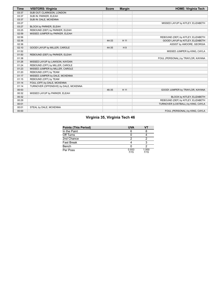| Time  | <b>VISITORS: Virginia</b>             | <b>Score</b> | <b>Margin</b> | <b>HOME: Virginia Tech</b>         |
|-------|---------------------------------------|--------------|---------------|------------------------------------|
| 03:37 | SUB OUT: CLARKSON, LONDON             |              |               |                                    |
| 03:37 | SUB IN: PARKER, ELEAH                 |              |               |                                    |
| 03:37 | SUB IN: DALE, MCKENNA                 |              |               |                                    |
| 03:27 |                                       |              |               | MISSED LAYUP by KITLEY, ELIZABETH  |
| 03:27 | BLOCK by PARKER, ELEAH                |              |               |                                    |
| 03:25 | REBOUND (DEF) by PARKER, ELEAH        |              |               |                                    |
| 02:59 | MISSED JUMPER by PARKER, ELEAH        |              |               |                                    |
| 02:56 |                                       |              |               | REBOUND (DEF) by KITLEY, ELIZABETH |
| 02:36 |                                       | 44-33        | H 11          | GOOD! LAYUP by KITLEY, ELIZABETH   |
| 02:36 |                                       |              |               | ASSIST by AMOORE, GEORGIA          |
| 02:10 | GOOD! LAYUP by MILLER, CAROLE         | 44-35        | H9            |                                    |
| 01:52 |                                       |              |               | MISSED JUMPER by KING, CAYLA       |
| 01:50 | REBOUND (DEF) by PARKER, ELEAH        |              |               |                                    |
| 01:38 |                                       |              |               | FOUL (PERSONAL) by TRAYLOR, KAYANA |
| 01:26 | MISSED LAYUP by LAWSON, KAYDAN        |              |               |                                    |
| 01:24 | REBOUND (OFF) by MILLER, CAROLE       |              |               |                                    |
| 01:23 | MISSED JUMPER by MILLER, CAROLE       |              |               |                                    |
| 01:20 | REBOUND (OFF) by TEAM                 |              |               |                                    |
| 01:17 | MISSED JUMPER by DALE, MCKENNA        |              |               |                                    |
| 01:15 | REBOUND (OFF) by TEAM                 |              |               |                                    |
| 01:14 | FOUL (OFF) by DALE, MCKENNA           |              |               |                                    |
| 01:14 | TURNOVER (OFFENSIVE) by DALE, MCKENNA |              |               |                                    |
| 00:53 |                                       | 46-35        | H 11          | GOOD! JUMPER by TRAYLOR, KAYANA    |
| 00:32 | MISSED LAYUP by PARKER, ELEAH         |              |               |                                    |
| 00:32 |                                       |              |               | BLOCK by KITLEY, ELIZABETH         |
| 00:29 |                                       |              |               | REBOUND (DEF) by KITLEY, ELIZABETH |
| 00:01 |                                       |              |               | TURNOVER (LOSTBALL) by KING, CAYLA |
| 00:01 | STEAL by DALE, MCKENNA                |              |               |                                    |
| 00:00 |                                       |              |               | FOUL (PERSONAL) by KING, CAYLA     |

# **Virginia 35, Virginia Tech 46**

| Points (This Period) | <b>UVA</b>    |               |
|----------------------|---------------|---------------|
| In the Paint         |               |               |
| Off Turns            |               |               |
| 2nd Chance           |               |               |
| Fast Break           |               |               |
| Bench                |               |               |
| Per Poss             | 0.933<br>7/15 | 1.000<br>7/15 |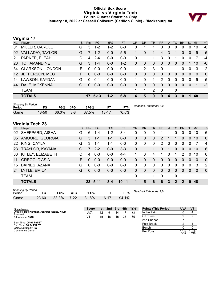### **Official Box Score Virginia vs Virginia Tech Fourth Quarter Statistics Only January 18, 2022 at Cassell Coliseum (Carilion Clinic) - Blacksburg. Va.**



# **Virginia 17**

| No.             | Player                  | S. | Pts      | FG       | 3FG     | <b>FT</b> | <b>OR</b> | <b>DR</b>   | <b>TR</b>      | PF            | A              | <b>TO</b>   | <b>Blk</b> | Stl          | Min         | $+/-$        |
|-----------------|-------------------------|----|----------|----------|---------|-----------|-----------|-------------|----------------|---------------|----------------|-------------|------------|--------------|-------------|--------------|
| 01              | MILLER, CAROLE          | G  | 3        | $1 - 2$  | $1 - 2$ | $0 - 0$   | 0         |             |                | 0             | 0              | 0           | 0          | 0            | 10          | -6           |
| 02              | VALLADAY, TAYLOR        | G  | 7        | $1 - 2$  | $0 - 0$ | $5-6$     |           | 0           | 1              | 4             | 3              |             | 0          | $\Omega$     | 9           | $-5$         |
| 21              | PARKER, ELEAH           | C  | 4        | $2 - 4$  | $0-0$   | $0-0$     | $\Omega$  |             |                | 3             | $\mathbf 0$    |             | 0          | $\Omega$     | 7           | $-4$         |
| 23              | TOI, AMANDINE           | G  | 3        | $1 - 4$  | $0-0$   | $1 - 2$   | 0         | 0           | $\Omega$       | $\Omega$      | $\overline{0}$ | $\Omega$    | $\Omega$   |              | 10          | $-6$         |
| 34              | <b>CLARKSON, LONDON</b> | F. | 0        | $0-0$    | $0-0$   | $0 - 0$   | 1         | 2           | 3              | $\Omega$      | 1              |             | $\Omega$   | $\Omega$     | 3           | $-2$         |
| 12 <sup>1</sup> | JEFFERSON, MEG          | F. | $\Omega$ | $0 - 0$  | $0-0$   | $0 - 0$   | 0         | $\Omega$    | $\Omega$       | $\Omega$      | $\overline{0}$ | $\Omega$    | $\Omega$   | $\Omega$     | $\Omega$    | $\mathbf{0}$ |
| 14              | LAWSON, KAYDAN          | G  | $\Omega$ | $0 - 1$  | $0-0$   | $0 - 0$   |           | 0           | 1              | $\mathcal{P}$ | 0              | $\Omega$    | 0          | $\Omega$     | 9           | $-5$         |
| 44              | DALE, MCKENNA           | G  | $\Omega$ | $0 - 0$  | $0 - 0$ | $0 - 0$   | 0         | $\mathbf 0$ | $\mathbf{0}$   | $\Omega$      | $\mathbf{0}$   | $\Omega$    | $\Omega$   | $\mathbf{0}$ | $\mathbf 1$ | $-2$         |
|                 | <b>TEAM</b>             |    |          |          |         |           |           | 1           | $\overline{2}$ | $\mathbf 0$   |                | $\mathbf 0$ |            |              |             |              |
|                 | <b>TOTALS</b>           |    | 17       | $5 - 13$ | $1 - 2$ | $6 - 8$   | 4         | 5           | 9              | 9             | 4              | 3           | 0          |              | 48          |              |
|                 |                         |    |          |          |         |           |           |             |                |               |                |             |            |              |             |              |

| <b>Shooting By Period</b><br>Period | FG    | FG%      | 3FG     | 3FG%     |           | FT%   | Deadball Rebounds: 3,0 |
|-------------------------------------|-------|----------|---------|----------|-----------|-------|------------------------|
| Game                                | 18-50 | $36.0\%$ | $3 - 8$ | $37.5\%$ | $13 - 17$ | 76.5% |                        |

### **Virginia Tech 23**

| No. | Player                 | S. | <b>Pts</b> | FG.     | 3FG     | <b>FT</b> | <b>OR</b> | <b>DR</b> | <b>TR</b>    | PF                    | $\mathsf{A}$   | <b>TO</b>      | <b>Blk</b>     | <b>Stl</b>     | Min            | $+/-$          |
|-----|------------------------|----|------------|---------|---------|-----------|-----------|-----------|--------------|-----------------------|----------------|----------------|----------------|----------------|----------------|----------------|
| 02  | SHEPPARD, AISHA        | G  | 6          | $1 - 4$ | $1 - 2$ | 3-4       | 0         | 0         | 0            |                       |                | 0              | 0              | 0              | 10             | 6              |
| 05  | AMOORE, GEORGIA        | G  | 3          | $1 - 1$ | $1 - 1$ | $0-0$     | $\Omega$  | 0         | $\mathbf{0}$ | $\mathbf{2}^{\prime}$ |                |                | $\Omega$       | $\Omega$       | 10             | 6              |
| 22  | KING, CAYLA            | G  | 3          | 1-1     | $1 - 1$ | $0-0$     | 0         | 0         | $\mathbf{0}$ | $\overline{2}$        | $\mathbf 0$    | $\Omega$       | $\Omega$       | 0              |                | $\overline{4}$ |
| 23  | <b>TRAYLOR, KAYANA</b> | G  | 7          | $2 - 2$ | $0 - 0$ | $3 - 3$   | 0         | 1         | 1            | $\Omega$              | 1              | $\Omega$       | $\Omega$       | $\overline{0}$ | 10             | 6              |
| 33  | KITLEY, ELIZABETH      | C  | 4          | $0 - 3$ | $0-0$   | $4 - 4$   | 1         | 3         | 4            | 1.                    | $\mathbf{0}$   |                | $\overline{2}$ | $\Omega$       | 10             | 6              |
| 11  | GREGG, D'ASIA          | F. | $\Omega$   | $0 - 0$ | $0 - 0$ | $0 - 0$   | $\Omega$  | $\Omega$  | $\Omega$     | $\Omega$              | $\Omega$       | $\Omega$       | $\Omega$       | $\Omega$       | 0              | $\overline{0}$ |
| 15  | <b>BAINES, AZANA</b>   | G  | $\Omega$   | $0 - 0$ | $0-0$   | $0-0$     | 0         | 0         | $\Omega$     | $\Omega$              | $\Omega$       | $\Omega$       | $\Omega$       | $\Omega$       | 3              | $\overline{2}$ |
| 24  | LYTLE, EMILY           | G  | $\Omega$   | $0 - 0$ | $0 - 0$ | $0 - 0$   | 0         | $\Omega$  | 0            | $\overline{0}$        | $\overline{0}$ | $\Omega$       | $\Omega$       | $\overline{0}$ | $\overline{0}$ | $\Omega$       |
|     | <b>TEAM</b>            |    |            |         |         |           | 0         | 1         | 1            | $\Omega$              |                | 0              |                |                |                |                |
|     | <b>TOTALS</b>          |    | 23.        | -5-11   | 3-4     | $10 - 11$ |           | 5         | 6            | 6                     | 3              | $\overline{2}$ | $\overline{2}$ | $\mathbf{0}$   | 48             |                |
|     |                        |    |            |         |         |           |           |           |              |                       |                |                |                |                |                |                |

| <b>Shooting By Period</b><br>Period | FG        | FG%   | 3FG  | 3FG%     | <b>FT</b> | FT%   |
|-------------------------------------|-----------|-------|------|----------|-----------|-------|
| Game                                | $23 - 60$ | 38.3% | 7-22 | $31.8\%$ | $16-17$   | 94.1% |

*Deadball Rebounds:* 1,0

| Game Notes:                                                      | <b>Score</b> |    | 1st 2nd |    |    | 3rd 4th TOT | <b>Points (This Period)</b> | <b>UVA</b>   | <b>VT</b>      |
|------------------------------------------------------------------|--------------|----|---------|----|----|-------------|-----------------------------|--------------|----------------|
| Officials: Dee Kantner, Jennifer Rezac, Kevin<br><b>Sparrock</b> | UVA          | 12 |         | 14 |    | 52          | In the Paint                |              |                |
| Attendance: 1518                                                 | VT           | 15 | 16      | 15 | 23 | 69          | Off Turns                   |              |                |
|                                                                  |              |    |         |    |    |             | 2nd Chance                  |              |                |
| Start Time: 05:01 PM ET<br>End Time: 06:54 PM ET                 |              |    |         |    |    |             | <b>Fast Break</b>           |              |                |
| Game Duration: 1:52                                              |              |    |         |    |    |             | Bench                       |              |                |
| Conference Game:                                                 |              |    |         |    |    |             | Per Poss                    | .133<br>8/15 | 1.438<br>10/16 |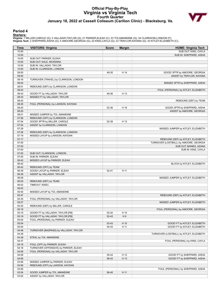### **Official Play-By-Play Virginia vs Virginia Tech Fourth Quarter January 18, 2022 at Cassell Coliseum (Carilion Clinic) - Blacksburg. Va.**



#### **Period 4**

#### **Starters:**

**Virginia**: 1 MILLER,CAROLE (G); 2 VALLADAY,TAYLOR (G); 21 PARKER,ELEAH (C); 23 TOI,AMANDINE (G); 34 CLARKSON,LONDON (F);<br>**Virginia Tech**: 2 SHEPPARD,AISHA (G); 5 AMOORE,GEORGIA (G); 22 KING,CAYLA (G); 23 TRAYLOR,KAYANA (G

| Time           | <b>VISITORS: Virginia</b>                                   | <b>Score</b> | <b>Margin</b> | <b>HOME: Virginia Tech</b>               |
|----------------|-------------------------------------------------------------|--------------|---------------|------------------------------------------|
| 10:00          |                                                             |              |               | SUB OUT: KING, CAYLA                     |
| 10:00          |                                                             |              |               | SUB IN: SHEPPARD, AISHA                  |
| 10:00          | SUB OUT: PARKER, ELEAH                                      |              |               |                                          |
| 10:00          | SUB OUT: DALE, MCKENNA                                      |              |               |                                          |
| 10:00          | SUB IN: VALLADAY, TAYLOR                                    |              |               |                                          |
| 10:00          | SUB IN: CLARKSON, LONDON                                    |              |               |                                          |
| 09:50          |                                                             | 49-35        | H 14          | GOOD! 3PTR by AMOORE, GEORGIA            |
| 09:50          |                                                             |              |               | ASSIST by TRAYLOR, KAYANA                |
| 09:16<br>08:54 | TURNOVER (TRAVEL) by CLARKSON, LONDON                       |              |               | MISSED 3PTR by SHEPPARD, AISHA           |
| 08:51          | REBOUND (DEF) by CLARKSON, LONDON                           |              |               |                                          |
| 08:43          |                                                             |              |               | FOUL (PERSONAL) by KITLEY, ELIZABETH     |
| 08:43          | GOOD! FT by VALLADAY, TAYLOR                                | 49-36        | H 13          |                                          |
| 08:43          | MISSED FT by VALLADAY, TAYLOR                               |              |               |                                          |
| 08:42          |                                                             |              |               | REBOUND (DEF) by TEAM                    |
| 08:25          | FOUL (PERSONAL) by LAWSON, KAYDAN                           |              |               |                                          |
| 08:20          |                                                             | 52-36        | H 16          | GOOD! 3PTR by SHEPPARD, AISHA            |
| 08:20          |                                                             |              |               | ASSIST by AMOORE, GEORGIA                |
| 08:01          | MISSED JUMPER by TOI, AMANDINE                              |              |               |                                          |
| 07:56          | REBOUND (OFF) by CLARKSON, LONDON                           |              |               |                                          |
| 07:54          | GOOD! 3PTR by MILLER, CAROLE                                | 52-39        | H 13          |                                          |
| 07:54          | ASSIST by CLARKSON, LONDON                                  |              |               |                                          |
| 07:29          |                                                             |              |               | MISSED JUMPER by KITLEY, ELIZABETH       |
| 07:26          | REBOUND (DEF) by CLARKSON, LONDON                           |              |               |                                          |
| 07:19          | MISSED LAYUP by LAWSON, KAYDAN                              |              |               |                                          |
| 07:17          |                                                             |              |               | REBOUND (DEF) by KITLEY, ELIZABETH       |
| 07:00          |                                                             |              |               | TURNOVER (LOSTBALL) by AMOORE, GEORGIA   |
| 07:00          |                                                             |              |               | SUB OUT: BAINES, AZANA                   |
| 07:00          |                                                             |              |               | SUB IN: KING, CAYLA                      |
| 07:00          | SUB OUT: CLARKSON, LONDON                                   |              |               |                                          |
| 07:00          | SUB IN: PARKER, ELEAH                                       |              |               |                                          |
| 06:42          | MISSED LAYUP by PARKER, ELEAH                               |              |               |                                          |
| 06:42          |                                                             |              |               | BLOCK by KITLEY, ELIZABETH               |
| 06:42<br>06:39 | REBOUND (OFF) by TEAM                                       | $52 - 41$    |               |                                          |
| 06:39          | GOOD! LAYUP by PARKER, ELEAH<br>ASSIST by VALLADAY, TAYLOR  |              | H 11          |                                          |
| 06:08          |                                                             |              |               | MISSED JUMPER by KITLEY, ELIZABETH       |
| 06:05          | REBOUND (DEF) by TEAM                                       |              |               |                                          |
| 06:02          | TIMEOUT 30SEC                                               |              |               |                                          |
| 06:02          |                                                             |              |               |                                          |
| 05:50          | MISSED LAYUP by TOI, AMANDINE                               |              |               |                                          |
| 05:47          |                                                             |              |               | REBOUND (DEF) by KITLEY, ELIZABETH       |
| 05:35          | FOUL (PERSONAL) by VALLADAY, TAYLOR                         |              |               |                                          |
| 05:27          |                                                             |              |               | MISSED JUMPER by KITLEY, ELIZABETH       |
| 05:25          | REBOUND (DEF) by MILLER, CAROLE                             |              |               |                                          |
| 05:19          |                                                             |              |               | FOUL (PERSONAL) by AMOORE, GEORGIA       |
| 05:19          | GOOD! FT by VALLADAY, TAYLOR [FB]                           | 52-42        | H 10          |                                          |
| 05:19          | GOOD! FT by VALLADAY, TAYLOR [FB]                           | 52-43        | H9            |                                          |
| 05:04          | FOUL (PERSONAL) by PARKER, ELEAH                            |              |               |                                          |
| 05:04          |                                                             | 53-43        | H 10          | GOOD! FT by KITLEY, ELIZABETH            |
| 05:04          |                                                             | 54-43        | H 11          | GOOD! FT by KITLEY, ELIZABETH            |
| 04:48          | TURNOVER (BADPASS) by VALLADAY, TAYLOR                      |              |               |                                          |
| 04:38          |                                                             |              |               | TURNOVER (LOSTBALL) by KITLEY, ELIZABETH |
| 04:38          | STEAL by TOI, AMANDINE                                      |              |               |                                          |
| 04:37          |                                                             |              |               | FOUL (PERSONAL) by KING, CAYLA           |
| 04:18          | FOUL (OFF) by PARKER, ELEAH                                 |              |               |                                          |
| 04:18          | TURNOVER (OFFENSIVE) by PARKER, ELEAH                       |              |               |                                          |
| 04:06          | FOUL (PERSONAL) by VALLADAY, TAYLOR                         |              |               |                                          |
| 04:06          |                                                             | 55-43        | H 12          | GOOD! FT by SHEPPARD, AISHA              |
| 04:06          |                                                             | 56-43        | H 13          | GOOD! FT by SHEPPARD, AISHA              |
| 03:56          | MISSED JUMPER by PARKER, ELEAH                              |              |               |                                          |
| 03:56          | REBOUND (OFF) by LAWSON, KAYDAN                             |              |               |                                          |
| 03:56<br>03:54 |                                                             |              | H 11          | FOUL (PERSONAL) by SHEPPARD, AISHA       |
| 03:54          | GOOD! JUMPER by TOI, AMANDINE<br>ASSIST by VALLADAY, TAYLOR | 56-45        |               |                                          |
|                |                                                             |              |               |                                          |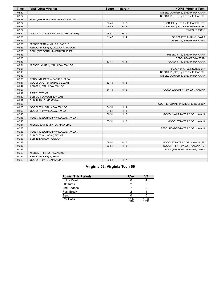| <b>Time</b> | <b>VISITORS: Virginia</b>             | <b>Score</b> | <b>Margin</b> | <b>HOME: Virginia Tech</b>         |
|-------------|---------------------------------------|--------------|---------------|------------------------------------|
| 03:30       |                                       |              |               | MISSED JUMPER by SHEPPARD, AISHA   |
| 03:27       |                                       |              |               | REBOUND (OFF) by KITLEY, ELIZABETH |
| 03:27       | FOUL (PERSONAL) by LAWSON, KAYDAN     |              |               |                                    |
| 03:27       |                                       | 57-45        | H 12          | GOOD! FT by KITLEY, ELIZABETH [FB] |
| 03:27       |                                       | 58-45        | H 13          | GOOD! FT by KITLEY, ELIZABETH [FB] |
| 03:27       |                                       |              |               | TIMEOUT 30SEC                      |
| 03:20       | GOOD! LAYUP by VALLADAY, TAYLOR [PNT] | 58-47        | H 11          |                                    |
| 02:55       |                                       | 61-47        | H 14          | GOOD! 3PTR by KING, CAYLA          |
| 02:55       |                                       |              |               | ASSIST by SHEPPARD, AISHA          |
| 02:35       | MISSED 3PTR by MILLER, CAROLE         |              |               |                                    |
| 02:33       | REBOUND (OFF) by VALLADAY, TAYLOR     |              |               |                                    |
| 02:33       | FOUL (PERSONAL) by PARKER, ELEAH      |              |               |                                    |
| 02:33       |                                       |              |               | MISSED FT by SHEPPARD, AISHA       |
| 02:33       |                                       |              |               | REBOUND (OFF) by TEAM              |
| 02:33       |                                       | 62-47        | H 15          | GOOD! FT by SHEPPARD, AISHA        |
| 02:21       | MISSED LAYUP by VALLADAY, TAYLOR      |              |               |                                    |
| 02:21       |                                       |              |               | BLOCK by KITLEY, ELIZABETH         |
| 02:18       |                                       |              |               | REBOUND (DEF) by KITLEY, ELIZABETH |
| 02:13       |                                       |              |               | MISSED JUMPER by SHEPPARD, AISHA   |
| 02:05       | REBOUND (DEF) by PARKER, ELEAH        |              |               |                                    |
| 01:47       | GOOD! LAYUP by PARKER, ELEAH          | 62-49        | H 13          |                                    |
| 01:47       | ASSIST by VALLADAY, TAYLOR            |              |               |                                    |
| 01:27       |                                       | 64-49        | H 15          | GOOD! LAYUP by TRAYLOR, KAYANA     |
| 01:19       | <b>TIMEOUT TEAM</b>                   |              |               |                                    |
| 01:19       | SUB OUT: LAWSON, KAYDAN               |              |               |                                    |
| 01:19       | SUB IN: DALE, MCKENNA                 |              |               |                                    |
| 01:08       |                                       |              |               | FOUL (PERSONAL) by AMOORE, GEORGIA |
| 01:08       | GOOD! FT by VALLADAY, TAYLOR          | 64-50        | H 14          |                                    |
| 01:08       | GOOD! FT by VALLADAY, TAYLOR          | 64-51        | H 13          |                                    |
| 00:48       |                                       | 66-51        | H 15          | GOOD! LAYUP by TRAYLOR, KAYANA     |
| 00:48       | FOUL (PERSONAL) by VALLADAY, TAYLOR   |              |               |                                    |
| 00:48       |                                       | 67-51        | H 16          | GOOD! FT by TRAYLOR, KAYANA        |
| 00:41       | MISSED JUMPER by TOI, AMANDINE        |              |               |                                    |
| 00:38       |                                       |              |               | REBOUND (DEF) by TRAYLOR, KAYANA   |
| 00:38       | FOUL (PERSONAL) by VALLADAY, TAYLOR   |              |               |                                    |
| 00:38       | SUB OUT: VALLADAY, TAYLOR             |              |               |                                    |
| 00:38       | SUB IN: LAWSON, KAYDAN                |              |               |                                    |
| 00:38       |                                       | 68-51        | H 17          | GOOD! FT by TRAYLOR, KAYANA [FB]   |
| 00:38       |                                       | 69-51        | H 18          | GOOD! FT by TRAYLOR, KAYANA [FB]   |
| 00:29       |                                       |              |               | FOUL (PERSONAL) by KING, CAYLA     |
| 00:29       | MISSED FT by TOI, AMANDINE            |              |               |                                    |
| 00:29       | REBOUND (OFF) by TEAM                 |              |               |                                    |
| 00:29       | GOOD! FT by TOI, AMANDINE             | 69-52        | H 17          |                                    |

# **Virginia 52, Virginia Tech 69**

| Points (This Period) | <b>UVA</b>    |                |
|----------------------|---------------|----------------|
| In the Paint         | 6             |                |
| Off Turns            |               |                |
| 2nd Chance           |               |                |
| Fast Break           | າ             |                |
| Bench                |               |                |
| Per Poss             | 1.133<br>8/15 | 1.438<br>10/16 |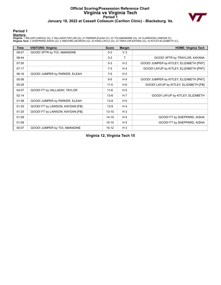### **Official Scoring/Possession Reference Chart Virginia vs Virginia Tech Period 1 January 18, 2022 at Cassell Coliseum (Carilion Clinic) - Blacksburg. Va.**



#### **Period 1**

#### **Starters:**

**Virginia**: 1 MILLER,CAROLE (G); 2 VALLADAY,TAYLOR (G); 21 PARKER,ELEAH (C); 23 TOI,AMANDINE (G); 34 CLARKSON,LONDON (F);<br>**Virginia Tech**: 2 SHEPPARD,AISHA (G); 5 AMOORE,GEORGIA (G); 22 KING,CAYLA (G); 23 TRAYLOR,KAYANA (G

| <b>Time</b> | <b>VISITORS: Virginia</b>       | <b>Score</b> | <b>Margin</b>  | <b>HOME: Virginia Tech</b>              |
|-------------|---------------------------------|--------------|----------------|-----------------------------------------|
| 09:07       | GOOD! 3PTR by TOI, AMANDINE     | $0 - 3$      | $V_3$          |                                         |
| 08:44       |                                 | $3-3$        | т              | GOOD! 3PTR by TRAYLOR, KAYANA           |
| 07:55       |                                 | $5-3$        | H <sub>2</sub> | GOOD! JUMPER by KITLEY, ELIZABETH [PNT] |
| 07:17       |                                 | $7-3$        | H <sub>4</sub> | GOOD! LAYUP by KITLEY, ELIZABETH [PNT]  |
| 06:16       | GOOD! JUMPER by PARKER, ELEAH   | $7-5$        | H <sub>2</sub> |                                         |
| 05:56       |                                 | $9-5$        | H <sub>4</sub> | GOOD! JUMPER by KITLEY, ELIZABETH [PNT] |
| 05:29       |                                 | $11 - 5$     | H <sub>6</sub> | GOOD! LAYUP by KITLEY, ELIZABETH [FB]   |
| 04:07       | GOOD! FT by VALLADAY, TAYLOR    | $11 - 6$     | H <sub>5</sub> |                                         |
| 02:14       |                                 | $13-6$       | H <sub>7</sub> | GOOD! LAYUP by KITLEY, ELIZABETH        |
| 01:58       | GOOD! JUMPER by PARKER, ELEAH   | $13 - 8$     | H <sub>5</sub> |                                         |
| 01:25       | GOOD! FT by LAWSON, KAYDAN [FB] | $13-9$       | H <sub>4</sub> |                                         |
| 01:25       | GOOD! FT by LAWSON, KAYDAN [FB] | $13 - 10$    | $H_3$          |                                         |
| 01:09       |                                 | $14 - 10$    | H <sub>4</sub> | GOOD! FT by SHEPPARD, AISHA             |
| 01:09       |                                 | $15 - 10$    | H <sub>5</sub> | GOOD! FT by SHEPPARD, AISHA             |
| 00:07       | GOOD! JUMPER by TOI, AMANDINE   | $15 - 12$    | $H_3$          |                                         |

**Virginia 12, Virginia Tech 15**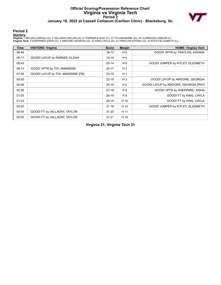### **Official Scoring/Possession Reference Chart Virginia vs Virginia Tech Period 2 January 18, 2022 at Cassell Coliseum (Carilion Clinic) - Blacksburg. Va.**



### **Period 2**

#### **Starters:**

**Virginia**: 1 MILLER,CAROLE (G); 2 VALLADAY,TAYLOR (G); 21 PARKER,ELEAH (C); 23 TOI,AMANDINE (G); 34 CLARKSON,LONDON (F);<br>**Virginia Tech**: 2 SHEPPARD,AISHA (G); 5 AMOORE,GEORGIA (G); 22 KING,CAYLA (G); 23 TRAYLOR,KAYANA (G

| <b>Time</b> | <b>VISITORS: Virginia</b>         | <b>Score</b> | <b>Margin</b>  | <b>HOME: Virginia Tech</b>           |
|-------------|-----------------------------------|--------------|----------------|--------------------------------------|
| 09:44       |                                   | 18-12        | H 6            | GOOD! 3PTR by TRAYLOR, KAYANA        |
| 09:17       | GOOD! LAYUP by PARKER, ELEAH      | 18-14        | H <sub>4</sub> |                                      |
| 08:43       |                                   | $20 - 14$    | H 6            | GOOD! JUMPER by KITLEY, ELIZABETH    |
| 08:13       | GOOD! 3PTR by TOI, AMANDINE       | $20 - 17$    | $H_3$          |                                      |
| 07:55       | GOOD! LAYUP by TOI, AMANDINE [FB] | $20-19$      | H <sub>1</sub> |                                      |
| 05:55       |                                   | $22 - 19$    | $H_3$          | GOOD! LAYUP by AMOORE, GEORGIA       |
| 03:06       |                                   | $24-19$      | H <sub>5</sub> | GOOD! LAYUP by AMOORE, GEORGIA [PNT] |
| 02:26       |                                   | $27-19$      | H 8            | GOOD! 3PTR by SHEPPARD, AISHA        |
| 01:03       |                                   | 28-19        | H9             | GOOD! FT by KING, CAYLA              |
| 01:03       |                                   | 29-19        | H 10           | GOOD! FT by KING, CAYLA              |
| 00:25       |                                   | $31 - 19$    | H 12           | GOOD! JUMPER by KITLEY, ELIZABETH    |
| 00:05       | GOOD! FT by VALLADAY, TAYLOR      | $31 - 20$    | H 11           |                                      |
| 00:05       | GOOD! FT by VALLADAY, TAYLOR      | $31 - 21$    | H 10           |                                      |

**Virginia 21, Virginia Tech 31**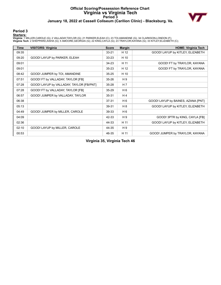### **Official Scoring/Possession Reference Chart Virginia vs Virginia Tech Period 3 January 18, 2022 at Cassell Coliseum (Carilion Clinic) - Blacksburg. Va.**



#### **Period 3**

#### **Starters:**

**Virginia**: 1 MILLER,CAROLE (G); 2 VALLADAY,TAYLOR (G); 21 PARKER,ELEAH (C); 23 TOI,AMANDINE (G); 34 CLARKSON,LONDON (F);<br>**Virginia Tech**: 2 SHEPPARD,AISHA (G); 5 AMOORE,GEORGIA (G); 22 KING,CAYLA (G); 23 TRAYLOR,KAYANA (G

| <b>Time</b> | <b>VISITORS: Virginia</b>                | <b>Score</b> | <b>Margin</b>  | <b>HOME: Virginia Tech</b>         |
|-------------|------------------------------------------|--------------|----------------|------------------------------------|
| 09:35       |                                          | $33 - 21$    | H 12           | GOOD! LAYUP by KITLEY, ELIZABETH   |
| 09:20       | GOOD! LAYUP by PARKER, ELEAH             | 33-23        | H 10           |                                    |
| 09:01       |                                          | 34-23        | H 11           | GOOD! FT by TRAYLOR, KAYANA        |
| 09:01       |                                          | $35 - 23$    | H 12           | GOOD! FT by TRAYLOR, KAYANA        |
| 08:42       | GOOD! JUMPER by TOI, AMANDINE            | $35 - 25$    | H 10           |                                    |
| 07:51       | GOOD! FT by VALLADAY, TAYLOR [FB]        | 35-26        | H <sub>9</sub> |                                    |
| 07:28       | GOOD! LAYUP by VALLADAY, TAYLOR [FB/PNT] | $35 - 28$    | H <sub>7</sub> |                                    |
| 07:28       | GOOD! FT by VALLADAY, TAYLOR [FB]        | $35 - 29$    | H <sub>6</sub> |                                    |
| 06:57       | GOOD! JUMPER by VALLADAY, TAYLOR         | $35 - 31$    | H <sub>4</sub> |                                    |
| 06:38       |                                          | $37 - 31$    | H <sub>6</sub> | GOOD! LAYUP by BAINES, AZANA [PNT] |
| 05:13       |                                          | 39-31        | H 8            | GOOD! LAYUP by KITLEY, ELIZABETH   |
| 04:49       | GOOD! JUMPER by MILLER, CAROLE           | 39-33        | H <sub>6</sub> |                                    |
| 04:09       |                                          | 42-33        | H9             | GOOD! 3PTR by KING, CAYLA [FB]     |
| 02:36       |                                          | 44-33        | H 11           | GOOD! LAYUP by KITLEY, ELIZABETH   |
| 02:10       | GOOD! LAYUP by MILLER, CAROLE            | 44-35        | H <sub>9</sub> |                                    |
| 00:53       |                                          | 46-35        | H 11           | GOOD! JUMPER by TRAYLOR, KAYANA    |

**Virginia 35, Virginia Tech 46**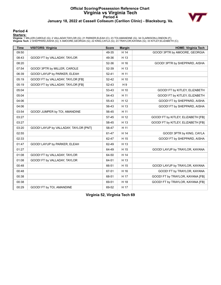### **Official Scoring/Possession Reference Chart Virginia vs Virginia Tech Period 4 January 18, 2022 at Cassell Coliseum (Carilion Clinic) - Blacksburg. Va.**



#### **Period 4**

#### **Starters:**

**Virginia**: 1 MILLER,CAROLE (G); 2 VALLADAY,TAYLOR (G); 21 PARKER,ELEAH (C); 23 TOI,AMANDINE (G); 34 CLARKSON,LONDON (F);<br>**Virginia Tech**: 2 SHEPPARD,AISHA (G); 5 AMOORE,GEORGIA (G); 22 KING,CAYLA (G); 23 TRAYLOR,KAYANA (G

| <b>Time</b> | <b>VISITORS: Virginia</b>             | <b>Score</b> | <b>Margin</b> | <b>HOME: Virginia Tech</b>         |
|-------------|---------------------------------------|--------------|---------------|------------------------------------|
| 09:50       |                                       | 49-35        | H 14          | GOOD! 3PTR by AMOORE, GEORGIA      |
| 08:43       | GOOD! FT by VALLADAY, TAYLOR          | 49-36        | H 13          |                                    |
| 08:20       |                                       | 52-36        | H 16          | GOOD! 3PTR by SHEPPARD, AISHA      |
| 07:54       | GOOD! 3PTR by MILLER, CAROLE          | 52-39        | H 13          |                                    |
| 06:39       | GOOD! LAYUP by PARKER, ELEAH          | $52 - 41$    | H 11          |                                    |
| 05:19       | GOOD! FT by VALLADAY, TAYLOR [FB]     | 52-42        | H 10          |                                    |
| 05:19       | GOOD! FT by VALLADAY, TAYLOR [FB]     | 52-43        | H9            |                                    |
| 05:04       |                                       | 53-43        | H 10          | GOOD! FT by KITLEY, ELIZABETH      |
| 05:04       |                                       | 54-43        | H 11          | GOOD! FT by KITLEY, ELIZABETH      |
| 04:06       |                                       | 55-43        | H 12          | GOOD! FT by SHEPPARD, AISHA        |
| 04:06       |                                       | 56-43        | H 13          | GOOD! FT by SHEPPARD, AISHA        |
| 03:54       | GOOD! JUMPER by TOI, AMANDINE         | 56-45        | H 11          |                                    |
| 03:27       |                                       | $57 - 45$    | H 12          | GOOD! FT by KITLEY, ELIZABETH [FB] |
| 03:27       |                                       | 58-45        | H 13          | GOOD! FT by KITLEY, ELIZABETH [FB] |
| 03:20       | GOOD! LAYUP by VALLADAY, TAYLOR [PNT] | 58-47        | H 11          |                                    |
| 02:55       |                                       | 61-47        | H 14          | GOOD! 3PTR by KING, CAYLA          |
| 02:33       |                                       | 62-47        | H 15          | GOOD! FT by SHEPPARD, AISHA        |
| 01:47       | GOOD! LAYUP by PARKER, ELEAH          | 62-49        | H 13          |                                    |
| 01:27       |                                       | 64-49        | H 15          | GOOD! LAYUP by TRAYLOR, KAYANA     |
| 01:08       | GOOD! FT by VALLADAY, TAYLOR          | 64-50        | H 14          |                                    |
| 01:08       | GOOD! FT by VALLADAY, TAYLOR          | 64-51        | H 13          |                                    |
| 00:48       |                                       | 66-51        | H 15          | GOOD! LAYUP by TRAYLOR, KAYANA     |
| 00:48       |                                       | 67-51        | H 16          | GOOD! FT by TRAYLOR, KAYANA        |
| 00:38       |                                       | 68-51        | H 17          | GOOD! FT by TRAYLOR, KAYANA [FB]   |
| 00:38       |                                       | 69-51        | H 18          | GOOD! FT by TRAYLOR, KAYANA [FB]   |
| 00:29       | GOOD! FT by TOI, AMANDINE             | 69-52        | H 17          |                                    |

**Virginia 52, Virginia Tech 69**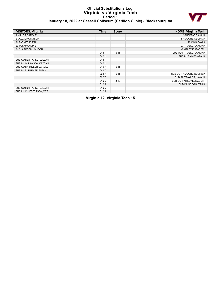### **Official Substitutions Log Virginia vs Virginia Tech Period 1 January 18, 2022 at Cassell Coliseum (Carilion Clinic) - Blacksburg. Va.**



| <b>VISITORS: Virginia</b> | <b>Time</b> | <b>Score</b> | <b>HOME: Virginia Tech</b> |
|---------------------------|-------------|--------------|----------------------------|
| 1 MILLER, CAROLE          |             |              | 2 SHEPPARD, AISHA          |
| 2 VALLADAY, TAYLOR        |             |              | 5 AMOORE, GEORGIA          |
| 21 PARKER, ELEAH          |             |              | 22 KING, CAYLA             |
| 23 TOI, AMANDINE          |             |              | 23 TRAYLOR, KAYANA         |
| 34 CLARKSON, LONDON       |             |              | 33 KITLEY, ELIZABETH       |
|                           | 04:51       | $5 - 11$     | SUB OUT: TRAYLOR, KAYANA   |
|                           | 04:51       |              | SUB IN: BAINES, AZANA      |
| SUB OUT: 21 PARKER, ELEAH | 04:51       |              |                            |
| SUB IN: 14 LAWSON, KAYDAN | 04:51       |              |                            |
| SUB OUT: 1 MILLER, CAROLE | 04:07       | $5 - 11$     |                            |
| SUB IN: 21 PARKER, ELEAH  | 04:07       |              |                            |
|                           | 02:57       | $6 - 11$     | SUB OUT: AMOORE, GEORGIA   |
|                           | 02:57       |              | SUB IN: TRAYLOR, KAYANA    |
|                           | 01:25       | $8 - 13$     | SUB OUT: KITLEY, ELIZABETH |
|                           | 01:25       |              | SUB IN: GREGG, D'ASIA      |
| SUB OUT: 21 PARKER, ELEAH | 01:25       |              |                            |
| SUB IN: 12 JEFFERSON, MEG | 01:25       |              |                            |

**Virginia 12, Virginia Tech 15**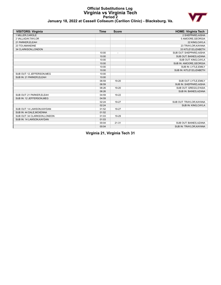### **Official Substitutions Log Virginia vs Virginia Tech Period 2 January 18, 2022 at Cassell Coliseum (Carilion Clinic) - Blacksburg. Va.**



|                             |             | January 18, 2022 at Cassell Coliseum (Carilion Clinic) - Blacksburg. Va. | v.<br>$\mu$                |
|-----------------------------|-------------|--------------------------------------------------------------------------|----------------------------|
| <b>VISITORS: Virginia</b>   | <b>Time</b> | <b>Score</b>                                                             | <b>HOME: Virginia Tech</b> |
| 1 MILLER.CAROLE             |             |                                                                          | 2 SHEPPARD, AISHA          |
| 2 VALLADAY,TAYLOR           |             |                                                                          | 5 AMOORE, GEORGIA          |
| 21 PARKER, ELEAH            |             |                                                                          | 22 KING, CAYLA             |
| 23 TOI,AMANDINE             |             |                                                                          | 23 TRAYLOR, KAYANA         |
| 34 CLARKSON, LONDON         |             |                                                                          | 33 KITLEY, ELIZABETH       |
|                             | 10:00       | $\overline{\phantom{a}}$                                                 | SUB OUT: SHEPPARD.AISHA    |
|                             | 10:00       |                                                                          | SUB OUT: BAINES, AZANA     |
|                             | 10:00       |                                                                          | SUB OUT: KING, CAYLA       |
|                             | 10:00       |                                                                          | SUB IN: AMOORE, GEORGIA    |
|                             | 10:00       |                                                                          | SUB IN: LYTLE, EMILY       |
|                             | 10:00       |                                                                          | SUB IN: KITLEY, ELIZABETH  |
| SUB OUT: 12 JEFFERSON.MEG   | 10:00       |                                                                          |                            |
| SUB IN: 21 PARKER,ELEAH     | 10:00       |                                                                          |                            |
|                             | 06:59       | 19-20                                                                    | SUB OUT: LYTLE, EMILY      |
|                             | 06:59       |                                                                          | SUB IN: SHEPPARD, AISHA    |
|                             | 06:26       | 19-20                                                                    | SUB OUT: GREGG, D'ASIA     |
|                             | 06:26       |                                                                          | SUB IN: BAINES.AZANA       |
| SUB OUT: 21 PARKER, ELEAH   | 04:59       | 19-22                                                                    |                            |
| SUB IN: 12 JEFFERSON, MEG   | 04:59       |                                                                          |                            |
|                             | 02:24       | 19-27                                                                    | SUB OUT: TRAYLOR, KAYANA   |
|                             | 02:24       |                                                                          | SUB IN: KING, CAYLA        |
| SUB OUT: 14 LAWSON.KAYDAN   | 01:52       | 19-27                                                                    |                            |
| SUB IN: 44 DALE, MCKENNA    | 01:52       |                                                                          |                            |
| SUB OUT: 34 CLARKSON,LONDON | 01:03       | 19-29                                                                    |                            |
| SUB IN: 14 LAWSON,KAYDAN    | 01:03       |                                                                          |                            |

**Virginia 21, Virginia Tech 31**

00:04 21-31 SUB OUT: BAINES,AZANA 00:04 SUB IN: TRAYLOR,KAYANA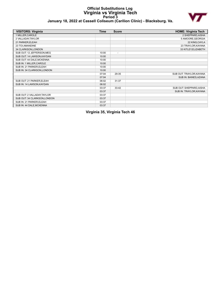### **Official Substitutions Log Virginia vs Virginia Tech Period 3 January 18, 2022 at Cassell Coliseum (Carilion Clinic) - Blacksburg. Va.**



|                             |       |                          | January TU, ZUZZ at Oassen Obliseum (Oanlion Olimo) - Diacksburg. va. |
|-----------------------------|-------|--------------------------|-----------------------------------------------------------------------|
| <b>VISITORS: Virginia</b>   | Time  | <b>Score</b>             | <b>HOME: Virginia Tech</b>                                            |
| 1 MILLER, CAROLE            |       |                          | 2 SHEPPARD, AISHA                                                     |
| 2 VALLADAY,TAYLOR           |       |                          | 5 AMOORE, GEORGIA                                                     |
| 21 PARKER, ELEAH            |       |                          | 22 KING, CAYLA                                                        |
| 23 TOI,AMANDINE             |       |                          | 23 TRAYLOR, KAYANA                                                    |
| <b>34 CLARKSON,LONDON</b>   |       |                          | 33 KITLEY, ELIZABETH                                                  |
| SUB OUT: 12 JEFFERSON, MEG  | 10:00 | $\overline{\phantom{a}}$ |                                                                       |
| SUB OUT: 14 LAWSON,KAYDAN   | 10:00 |                          |                                                                       |
| SUB OUT: 44 DALE, MCKENNA   | 10:00 |                          |                                                                       |
| SUB IN: 1 MILLER, CAROLE    | 10:00 |                          |                                                                       |
| SUB IN: 21 PARKER,ELEAH     | 10:00 |                          |                                                                       |
| SUB IN: 34 CLARKSON, LONDON | 10:00 |                          |                                                                       |
|                             | 07:04 | 29-35                    | SUB OUT: TRAYLOR, KAYANA                                              |
|                             | 07:04 |                          | SUB IN: BAINES, AZANA                                                 |
| SUB OUT: 21 PARKER,ELEAH    | 06:02 | $31 - 37$                |                                                                       |
| SUB IN: 14 LAWSON, KAYDAN   | 06:02 |                          |                                                                       |
|                             | 03:37 | $33 - 42$                | SUB OUT: SHEPPARD, AISHA                                              |
|                             | 03:37 |                          | SUB IN: TRAYLOR, KAYANA                                               |
| SUB OUT: 2 VALLADAY,TAYLOR  | 03:37 |                          |                                                                       |
| SUB OUT: 34 CLARKSON,LONDON | 03:37 |                          |                                                                       |
| SUB IN: 21 PARKER,ELEAH     | 03:37 |                          |                                                                       |

**Virginia 35, Virginia Tech 46**

SUB IN: 44 DALE,MCKENNA 03:37